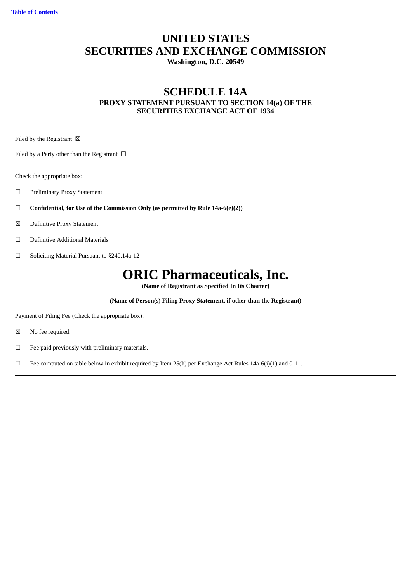# **UNITED STATES SECURITIES AND EXCHANGE COMMISSION**

**Washington, D.C. 20549**

## **SCHEDULE 14A PROXY STATEMENT PURSUANT TO SECTION 14(a) OF THE SECURITIES EXCHANGE ACT OF 1934**

Filed by the Registrant  $\boxtimes$ 

Filed by a Party other than the Registrant  $\Box$ 

Check the appropriate box:

- ☐ Preliminary Proxy Statement
- ☐ **Confidential, for Use of the Commission Only (as permitted by Rule 14a-6(e)(2))**
- ☒ Definitive Proxy Statement
- ☐ Definitive Additional Materials
- ☐ Soliciting Material Pursuant to §240.14a-12

# **ORIC Pharmaceuticals, Inc.**

**(Name of Registrant as Specified In Its Charter)**

**(Name of Person(s) Filing Proxy Statement, if other than the Registrant)**

Payment of Filing Fee (Check the appropriate box):

- ☒ No fee required.
- ☐ Fee paid previously with preliminary materials.
- $\Box$  Fee computed on table below in exhibit required by Item 25(b) per Exchange Act Rules 14a-6(i)(1) and 0-11.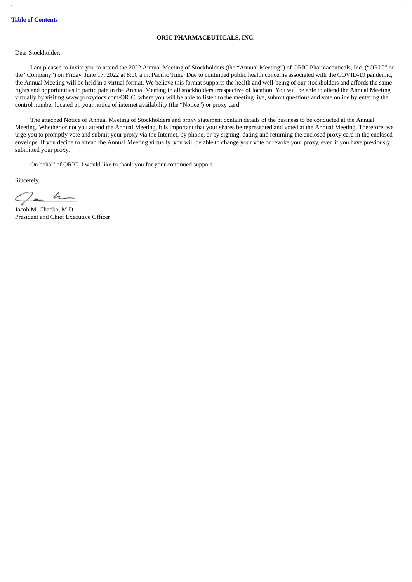## **ORIC PHARMACEUTICALS, INC.**

## Dear Stockholder:

I am pleased to invite you to attend the 2022 Annual Meeting of Stockholders (the "Annual Meeting") of ORIC Pharmaceuticals, Inc. ("ORIC" or the "Company") on Friday, June 17, 2022 at 8:00 a.m. Pacific Time. Due to continued public health concerns associated with the COVID-19 pandemic, the Annual Meeting will be held in a virtual format. We believe this format supports the health and well-being of our stockholders and affords the same rights and opportunities to participate in the Annual Meeting to all stockholders irrespective of location. You will be able to attend the Annual Meeting virtually by visiting www.proxydocs.com/ORIC, where you will be able to listen to the meeting live, submit questions and vote online by entering the control number located on your notice of internet availability (the "Notice") or proxy card.

The attached Notice of Annual Meeting of Stockholders and proxy statement contain details of the business to be conducted at the Annual Meeting. Whether or not you attend the Annual Meeting, it is important that your shares be represented and voted at the Annual Meeting. Therefore, we urge you to promptly vote and submit your proxy via the Internet, by phone, or by signing, dating and returning the enclosed proxy card in the enclosed envelope. If you decide to attend the Annual Meeting virtually, you will be able to change your vote or revoke your proxy, even if you have previously submitted your proxy.

On behalf of ORIC, I would like to thank you for your continued support.

Sincerely,

ga h

Jacob M. Chacko, M.D. President and Chief Executive Officer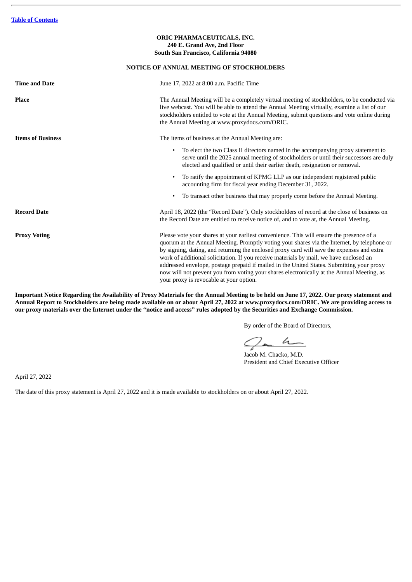## **ORIC PHARMACEUTICALS, INC. 240 E. Grand Ave, 2nd Floor South San Francisco, California 94080**

## **NOTICE OF ANNUAL MEETING OF STOCKHOLDERS**

| <b>Time and Date</b>     | June 17, 2022 at 8:00 a.m. Pacific Time                                                                                                                                                                                                                                                                                                                                                                                                                                                                                                                                   |  |  |  |
|--------------------------|---------------------------------------------------------------------------------------------------------------------------------------------------------------------------------------------------------------------------------------------------------------------------------------------------------------------------------------------------------------------------------------------------------------------------------------------------------------------------------------------------------------------------------------------------------------------------|--|--|--|
| <b>Place</b>             | The Annual Meeting will be a completely virtual meeting of stockholders, to be conducted via<br>live webcast. You will be able to attend the Annual Meeting virtually, examine a list of our<br>stockholders entitled to vote at the Annual Meeting, submit questions and vote online during<br>the Annual Meeting at www.proxydocs.com/ORIC.                                                                                                                                                                                                                             |  |  |  |
| <b>Items of Business</b> | The items of business at the Annual Meeting are:                                                                                                                                                                                                                                                                                                                                                                                                                                                                                                                          |  |  |  |
|                          | To elect the two Class II directors named in the accompanying proxy statement to<br>$\bullet$<br>serve until the 2025 annual meeting of stockholders or until their successors are duly<br>elected and qualified or until their earlier death, resignation or removal.                                                                                                                                                                                                                                                                                                    |  |  |  |
|                          | To ratify the appointment of KPMG LLP as our independent registered public<br>$\bullet$<br>accounting firm for fiscal year ending December 31, 2022.                                                                                                                                                                                                                                                                                                                                                                                                                      |  |  |  |
|                          | To transact other business that may properly come before the Annual Meeting.<br>$\bullet$                                                                                                                                                                                                                                                                                                                                                                                                                                                                                 |  |  |  |
| <b>Record Date</b>       | April 18, 2022 (the "Record Date"). Only stockholders of record at the close of business on<br>the Record Date are entitled to receive notice of, and to vote at, the Annual Meeting.                                                                                                                                                                                                                                                                                                                                                                                     |  |  |  |
| <b>Proxy Voting</b>      | Please vote your shares at your earliest convenience. This will ensure the presence of a<br>quorum at the Annual Meeting. Promptly voting your shares via the Internet, by telephone or<br>by signing, dating, and returning the enclosed proxy card will save the expenses and extra<br>work of additional solicitation. If you receive materials by mail, we have enclosed an<br>addressed envelope, postage prepaid if mailed in the United States. Submitting your proxy<br>now will not prevent you from voting your shares electronically at the Annual Meeting, as |  |  |  |

Important Notice Regarding the Availability of Proxy Materials for the Annual Meeting to be held on June 17, 2022. Our proxy statement and Annual Report to Stockholders are being made available on or about April 27, 2022 at www.proxydocs.com/ORIC. We are providing access to our proxy materials over the Internet under the "notice and access" rules adopted by the Securities and Exchange Commission.

your proxy is revocable at your option.

By order of the Board of Directors,

Jacob M. Chacko, M.D.

President and Chief Executive Officer

April 27, 2022

The date of this proxy statement is April 27, 2022 and it is made available to stockholders on or about April 27, 2022.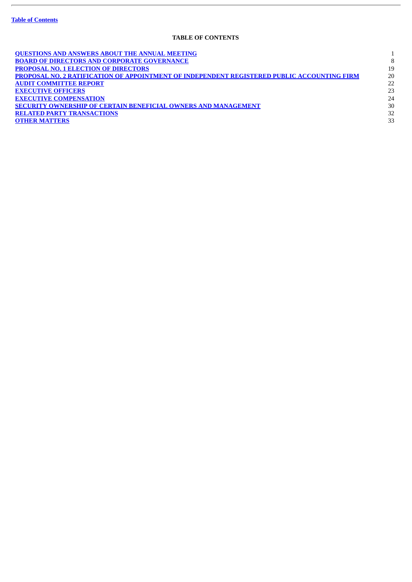ł.

## **TABLE OF CONTENTS**

<span id="page-3-0"></span>

| <b>QUESTIONS AND ANSWERS ABOUT THE ANNUAL MEETING</b>                                       |    |
|---------------------------------------------------------------------------------------------|----|
| <b>BOARD OF DIRECTORS AND CORPORATE GOVERNANCE</b>                                          | 8  |
| <b>PROPOSAL NO. 1 ELECTION OF DIRECTORS</b>                                                 | 19 |
| PROPOSAL NO. 2 RATIFICATION OF APPOINTMENT OF INDEPENDENT REGISTERED PUBLIC ACCOUNTING FIRM | 20 |
| <b>AUDIT COMMITTEE REPORT</b>                                                               | 22 |
| <b>EXECUTIVE OFFICERS</b>                                                                   | 23 |
| <b>EXECUTIVE COMPENSATION</b>                                                               | 24 |
| SECURITY OWNERSHIP OF CERTAIN BENEFICIAL OWNERS AND MANAGEMENT                              | 30 |
| <b>RELATED PARTY TRANSACTIONS</b>                                                           | 32 |
| <b>OTHER MATTERS</b>                                                                        | 33 |
|                                                                                             |    |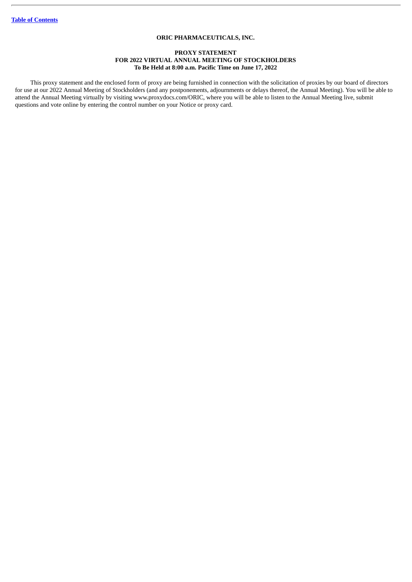## **ORIC PHARMACEUTICALS, INC.**

## **PROXY STATEMENT FOR 2022 VIRTUAL ANNUAL MEETING OF STOCKHOLDERS To Be Held at 8:00 a.m. Pacific Time on June 17, 2022**

This proxy statement and the enclosed form of proxy are being furnished in connection with the solicitation of proxies by our board of directors for use at our 2022 Annual Meeting of Stockholders (and any postponements, adjournments or delays thereof, the Annual Meeting). You will be able to attend the Annual Meeting virtually by visiting www.proxydocs.com/ORIC, where you will be able to listen to the Annual Meeting live, submit questions and vote online by entering the control number on your Notice or proxy card.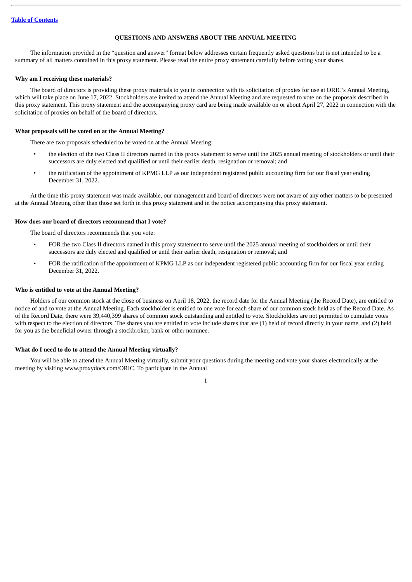## **QUESTIONS AND ANSWERS ABOUT THE ANNUAL MEETING**

<span id="page-5-0"></span>The information provided in the "question and answer" format below addresses certain frequently asked questions but is not intended to be a summary of all matters contained in this proxy statement. Please read the entire proxy statement carefully before voting your shares.

#### **Why am I receiving these materials?**

The board of directors is providing these proxy materials to you in connection with its solicitation of proxies for use at ORIC's Annual Meeting, which will take place on June 17, 2022. Stockholders are invited to attend the Annual Meeting and are requested to vote on the proposals described in this proxy statement. This proxy statement and the accompanying proxy card are being made available on or about April 27, 2022 in connection with the solicitation of proxies on behalf of the board of directors.

## **What proposals will be voted on at the Annual Meeting?**

There are two proposals scheduled to be voted on at the Annual Meeting:

- the election of the two Class II directors named in this proxy statement to serve until the 2025 annual meeting of stockholders or until their successors are duly elected and qualified or until their earlier death, resignation or removal; and
- the ratification of the appointment of KPMG LLP as our independent registered public accounting firm for our fiscal year ending December 31, 2022.

At the time this proxy statement was made available, our management and board of directors were not aware of any other matters to be presented at the Annual Meeting other than those set forth in this proxy statement and in the notice accompanying this proxy statement.

### **How does our board of directors recommend that I vote?**

The board of directors recommends that you vote:

- FOR the two Class II directors named in this proxy statement to serve until the 2025 annual meeting of stockholders or until their successors are duly elected and qualified or until their earlier death, resignation or removal; and
- FOR the ratification of the appointment of KPMG LLP as our independent registered public accounting firm for our fiscal year ending December 31, 2022.

#### **Who is entitled to vote at the Annual Meeting?**

Holders of our common stock at the close of business on April 18, 2022, the record date for the Annual Meeting (the Record Date), are entitled to notice of and to vote at the Annual Meeting. Each stockholder is entitled to one vote for each share of our common stock held as of the Record Date. As of the Record Date, there were 39,440,399 shares of common stock outstanding and entitled to vote. Stockholders are not permitted to cumulate votes with respect to the election of directors. The shares you are entitled to vote include shares that are (1) held of record directly in your name, and (2) held for you as the beneficial owner through a stockbroker, bank or other nominee.

#### **What do I need to do to attend the Annual Meeting virtually?**

You will be able to attend the Annual Meeting virtually, submit your questions during the meeting and vote your shares electronically at the meeting by visiting www.proxydocs.com/ORIC. To participate in the Annual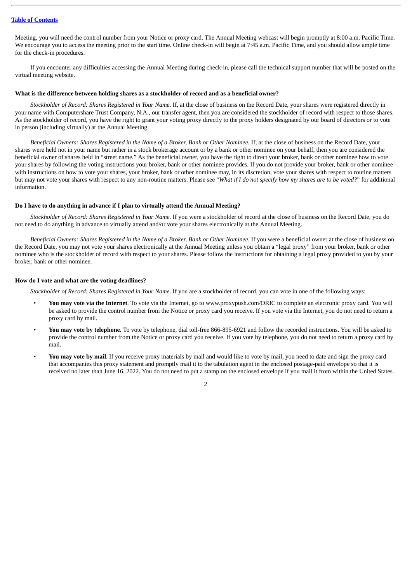Meeting, you will need the control number from your Notice or proxy card. The Annual Meeting webcast will begin promptly at 8:00 a.m. Pacific Time. We encourage you to access the meeting prior to the start time. Online check-in will begin at 7:45 a.m. Pacific Time, and you should allow ample time for the check-in procedures.

If you encounter any difficulties accessing the Annual Meeting during check-in, please call the technical support number that will be posted on the virtual meeting website.

#### **What is the difference between holding shares as a stockholder of record and as a beneficial owner?**

*Stockholder of Record: Shares Registered in Your Name*. If, at the close of business on the Record Date, your shares were registered directly in your name with Computershare Trust Company, N.A., our transfer agent, then you are considered the stockholder of record with respect to those shares. As the stockholder of record, you have the right to grant your voting proxy directly to the proxy holders designated by our board of directors or to vote in person (including virtually) at the Annual Meeting.

Beneficial Owners: Shares Registered in the Name of a Broker, Bank or Other Nominee. If, at the close of business on the Record Date, your shares were held not in your name but rather in a stock brokerage account or by a bank or other nominee on your behalf, then you are considered the beneficial owner of shares held in "street name." As the beneficial owner, you have the right to direct your broker, bank or other nominee how to vote your shares by following the voting instructions your broker, bank or other nominee provides. If you do not provide your broker, bank or other nominee with instructions on how to vote your shares, your broker, bank or other nominee may, in its discretion, vote your shares with respect to routine matters but may not vote your shares with respect to any non-routine matters. Please see "What if I do not specify how my shares are to be voted?" for additional information.

#### **Do I have to do anything in advance if I plan to virtually attend the Annual Meeting?**

*Stockholder of Record: Shares Registered in Your Name*. If you were a stockholder of record at the close of business on the Record Date, you do not need to do anything in advance to virtually attend and/or vote your shares electronically at the Annual Meeting.

Beneficial Owners: Shares Registered in the Name of a Broker, Bank or Other Nominee. If you were a beneficial owner at the close of business on the Record Date, you may not vote your shares electronically at the Annual Meeting unless you obtain a "legal proxy" from your broker, bank or other nominee who is the stockholder of record with respect to your shares. Please follow the instructions for obtaining a legal proxy provided to you by your broker, bank or other nominee.

#### **How do I vote and what are the voting deadlines?**

*Stockholder of Record: Shares Registered in Your Name*. If you are a stockholder of record, you can vote in one of the following ways:

- **You may vote via the Internet**. To vote via the Internet, go to www.proxypush.com/ORIC to complete an electronic proxy card. You will be asked to provide the control number from the Notice or proxy card you receive. If you vote via the Internet, you do not need to return a proxy card by mail.
- **You may vote by telephone.** To vote by telephone, dial toll-free 866-895-6921 and follow the recorded instructions. You will be asked to provide the control number from the Notice or proxy card you receive. If you vote by telephone, you do not need to return a proxy card by mail.
- **You may vote by mail**. If you receive proxy materials by mail and would like to vote by mail, you need to date and sign the proxy card that accompanies this proxy statement and promptly mail it to the tabulation agent in the enclosed postage-paid envelope so that it is received no later than June 16, 2022. You do not need to put a stamp on the enclosed envelope if you mail it from within the United States.

 $\overline{2}$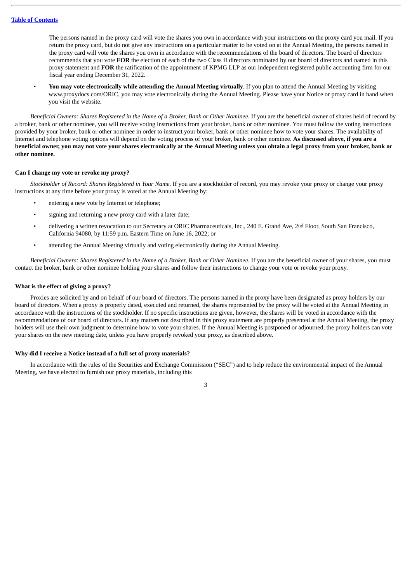The persons named in the proxy card will vote the shares you own in accordance with your instructions on the proxy card you mail. If you return the proxy card, but do not give any instructions on a particular matter to be voted on at the Annual Meeting, the persons named in the proxy card will vote the shares you own in accordance with the recommendations of the board of directors. The board of directors recommends that you vote **FOR** the election of each of the two Class II directors nominated by our board of directors and named in this proxy statement and **FOR** the ratification of the appointment of KPMG LLP as our independent registered public accounting firm for our fiscal year ending December 31, 2022.

• **You may vote electronically while attending the Annual Meeting virtually**. If you plan to attend the Annual Meeting by visiting www.proxydocs.com/ORIC, you may vote electronically during the Annual Meeting. Please have your Notice or proxy card in hand when you visit the website.

Beneficial Owners: Shares Registered in the Name of a Broker, Bank or Other Nominee. If you are the beneficial owner of shares held of record by a broker, bank or other nominee, you will receive voting instructions from your broker, bank or other nominee. You must follow the voting instructions provided by your broker, bank or other nominee in order to instruct your broker, bank or other nominee how to vote your shares. The availability of Internet and telephone voting options will depend on the voting process of your broker, bank or other nominee. **As discussed above, if you are a** beneficial owner, you may not vote your shares electronically at the Annual Meeting unless you obtain a legal proxy from your broker, bank or **other nominee.**

#### **Can I change my vote or revoke my proxy?**

*Stockholder of Record: Shares Registered in Your Name*. If you are a stockholder of record, you may revoke your proxy or change your proxy instructions at any time before your proxy is voted at the Annual Meeting by:

- entering a new vote by Internet or telephone;
- signing and returning a new proxy card with a later date;
- delivering a written revocation to our Secretary at ORIC Pharmaceuticals, Inc., 240 E. Grand Ave, 2nd Floor, South San Francisco, California 94080, by 11:59 p.m. Eastern Time on June 16, 2022; or
- attending the Annual Meeting virtually and voting electronically during the Annual Meeting.

Beneficial Owners: Shares Registered in the Name of a Broker, Bank or Other Nominee. If you are the beneficial owner of your shares, you must contact the broker, bank or other nominee holding your shares and follow their instructions to change your vote or revoke your proxy.

## **What is the effect of giving a proxy?**

Proxies are solicited by and on behalf of our board of directors. The persons named in the proxy have been designated as proxy holders by our board of directors. When a proxy is properly dated, executed and returned, the shares represented by the proxy will be voted at the Annual Meeting in accordance with the instructions of the stockholder. If no specific instructions are given, however, the shares will be voted in accordance with the recommendations of our board of directors. If any matters not described in this proxy statement are properly presented at the Annual Meeting, the proxy holders will use their own judgment to determine how to vote your shares. If the Annual Meeting is postponed or adjourned, the proxy holders can vote your shares on the new meeting date, unless you have properly revoked your proxy, as described above.

## **Why did I receive a Notice instead of a full set of proxy materials?**

In accordance with the rules of the Securities and Exchange Commission ("SEC") and to help reduce the environmental impact of the Annual Meeting, we have elected to furnish our proxy materials, including this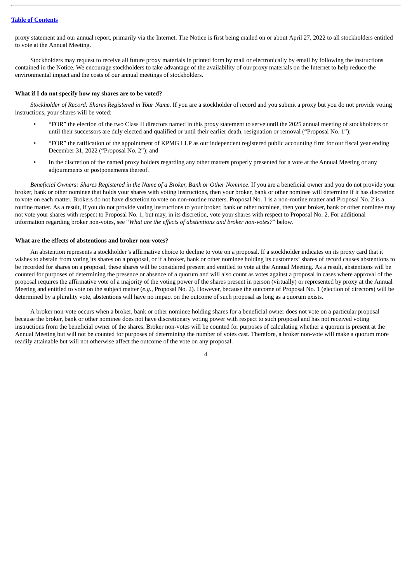proxy statement and our annual report, primarily via the Internet. The Notice is first being mailed on or about April 27, 2022 to all stockholders entitled to vote at the Annual Meeting.

Stockholders may request to receive all future proxy materials in printed form by mail or electronically by email by following the instructions contained in the Notice. We encourage stockholders to take advantage of the availability of our proxy materials on the Internet to help reduce the environmental impact and the costs of our annual meetings of stockholders.

## **What if I do not specify how my shares are to be voted?**

*Stockholder of Record: Shares Registered in Your Name*. If you are a stockholder of record and you submit a proxy but you do not provide voting instructions, your shares will be voted:

- "FOR" the election of the two Class II directors named in this proxy statement to serve until the 2025 annual meeting of stockholders or until their successors are duly elected and qualified or until their earlier death, resignation or removal ("Proposal No. 1");
- "FOR" the ratification of the appointment of KPMG LLP as our independent registered public accounting firm for our fiscal year ending December 31, 2022 ("Proposal No. 2"); and
- In the discretion of the named proxy holders regarding any other matters properly presented for a vote at the Annual Meeting or any adjournments or postponements thereof.

Beneficial Owners: Shares Registered in the Name of a Broker, Bank or Other Nominee. If you are a beneficial owner and you do not provide your broker, bank or other nominee that holds your shares with voting instructions, then your broker, bank or other nominee will determine if it has discretion to vote on each matter. Brokers do not have discretion to vote on non-routine matters. Proposal No. 1 is a non-routine matter and Proposal No. 2 is a routine matter. As a result, if you do not provide voting instructions to your broker, bank or other nominee, then your broker, bank or other nominee may not vote your shares with respect to Proposal No. 1, but may, in its discretion, vote your shares with respect to Proposal No. 2. For additional information regarding broker non-votes, see "*What are the effects of abstentions and broker non-votes?*" below.

## **What are the effects of abstentions and broker non-votes?**

An abstention represents a stockholder's affirmative choice to decline to vote on a proposal. If a stockholder indicates on its proxy card that it wishes to abstain from voting its shares on a proposal, or if a broker, bank or other nominee holding its customers' shares of record causes abstentions to be recorded for shares on a proposal, these shares will be considered present and entitled to vote at the Annual Meeting. As a result, abstentions will be counted for purposes of determining the presence or absence of a quorum and will also count as votes against a proposal in cases where approval of the proposal requires the affirmative vote of a majority of the voting power of the shares present in person (virtually) or represented by proxy at the Annual Meeting and entitled to vote on the subject matter (*e.g.*, Proposal No. 2). However, because the outcome of Proposal No. 1 (election of directors) will be determined by a plurality vote, abstentions will have no impact on the outcome of such proposal as long as a quorum exists.

A broker non-vote occurs when a broker, bank or other nominee holding shares for a beneficial owner does not vote on a particular proposal because the broker, bank or other nominee does not have discretionary voting power with respect to such proposal and has not received voting instructions from the beneficial owner of the shares. Broker non-votes will be counted for purposes of calculating whether a quorum is present at the Annual Meeting but will not be counted for purposes of determining the number of votes cast. Therefore, a broker non-vote will make a quorum more readily attainable but will not otherwise affect the outcome of the vote on any proposal.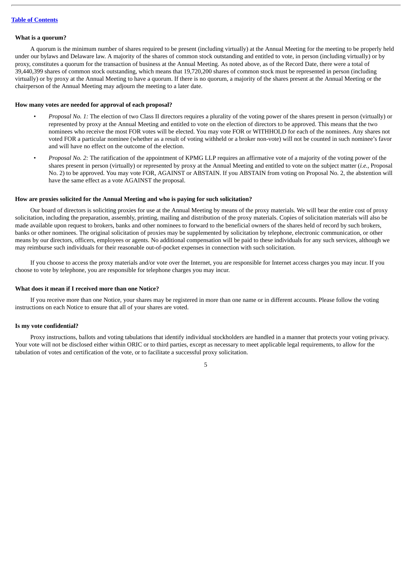#### **What is a quorum?**

A quorum is the minimum number of shares required to be present (including virtually) at the Annual Meeting for the meeting to be properly held under our bylaws and Delaware law. A majority of the shares of common stock outstanding and entitled to vote, in person (including virtually) or by proxy, constitutes a quorum for the transaction of business at the Annual Meeting. As noted above, as of the Record Date, there were a total of 39,440,399 shares of common stock outstanding, which means that 19,720,200 shares of common stock must be represented in person (including virtually) or by proxy at the Annual Meeting to have a quorum. If there is no quorum, a majority of the shares present at the Annual Meeting or the chairperson of the Annual Meeting may adjourn the meeting to a later date.

#### **How many votes are needed for approval of each proposal?**

- *Proposal No. 1:* The election of two Class II directors requires a plurality of the voting power of the shares present in person (virtually) or represented by proxy at the Annual Meeting and entitled to vote on the election of directors to be approved. This means that the two nominees who receive the most FOR votes will be elected. You may vote FOR or WITHHOLD for each of the nominees. Any shares not voted FOR a particular nominee (whether as a result of voting withheld or a broker non-vote) will not be counted in such nominee's favor and will have no effect on the outcome of the election.
- *Proposal No. 2:* The ratification of the appointment of KPMG LLP requires an affirmative vote of a majority of the voting power of the shares present in person (virtually) or represented by proxy at the Annual Meeting and entitled to vote on the subject matter (*i.e.*, Proposal No. 2) to be approved. You may vote FOR, AGAINST or ABSTAIN. If you ABSTAIN from voting on Proposal No. 2, the abstention will have the same effect as a vote AGAINST the proposal.

#### **How are proxies solicited for the Annual Meeting and who is paying for such solicitation?**

Our board of directors is soliciting proxies for use at the Annual Meeting by means of the proxy materials. We will bear the entire cost of proxy solicitation, including the preparation, assembly, printing, mailing and distribution of the proxy materials. Copies of solicitation materials will also be made available upon request to brokers, banks and other nominees to forward to the beneficial owners of the shares held of record by such brokers, banks or other nominees. The original solicitation of proxies may be supplemented by solicitation by telephone, electronic communication, or other means by our directors, officers, employees or agents. No additional compensation will be paid to these individuals for any such services, although we may reimburse such individuals for their reasonable out-of-pocket expenses in connection with such solicitation.

If you choose to access the proxy materials and/or vote over the Internet, you are responsible for Internet access charges you may incur. If you choose to vote by telephone, you are responsible for telephone charges you may incur.

#### **What does it mean if I received more than one Notice?**

If you receive more than one Notice, your shares may be registered in more than one name or in different accounts. Please follow the voting instructions on each Notice to ensure that all of your shares are voted.

#### **Is my vote confidential?**

Proxy instructions, ballots and voting tabulations that identify individual stockholders are handled in a manner that protects your voting privacy. Your vote will not be disclosed either within ORIC or to third parties, except as necessary to meet applicable legal requirements, to allow for the tabulation of votes and certification of the vote, or to facilitate a successful proxy solicitation.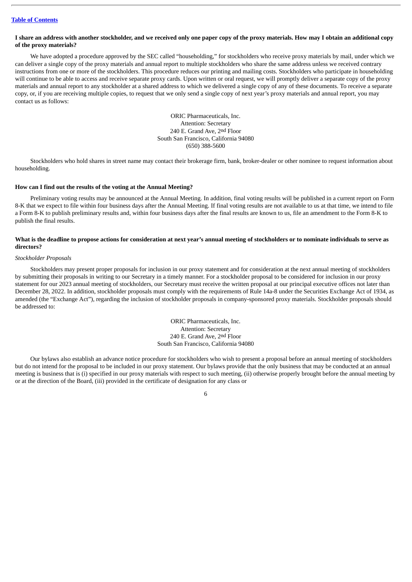#### I share an address with another stockholder, and we received only one paper copy of the proxy materials. How may I obtain an additional copy **of the proxy materials?**

We have adopted a procedure approved by the SEC called "householding," for stockholders who receive proxy materials by mail, under which we can deliver a single copy of the proxy materials and annual report to multiple stockholders who share the same address unless we received contrary instructions from one or more of the stockholders. This procedure reduces our printing and mailing costs. Stockholders who participate in householding will continue to be able to access and receive separate proxy cards. Upon written or oral request, we will promptly deliver a separate copy of the proxy materials and annual report to any stockholder at a shared address to which we delivered a single copy of any of these documents. To receive a separate copy, or, if you are receiving multiple copies, to request that we only send a single copy of next year's proxy materials and annual report, you may contact us as follows:

> ORIC Pharmaceuticals, Inc. Attention: Secretary 240 E. Grand Ave, 2nd Floor South San Francisco, California 94080 (650) 388-5600

Stockholders who hold shares in street name may contact their brokerage firm, bank, broker-dealer or other nominee to request information about householding.

## **How can I find out the results of the voting at the Annual Meeting?**

Preliminary voting results may be announced at the Annual Meeting. In addition, final voting results will be published in a current report on Form 8-K that we expect to file within four business days after the Annual Meeting. If final voting results are not available to us at that time, we intend to file a Form 8-K to publish preliminary results and, within four business days after the final results are known to us, file an amendment to the Form 8-K to publish the final results.

## What is the deadline to propose actions for consideration at next year's annual meeting of stockholders or to nominate individuals to serve as **directors?**

#### *Stockholder Proposals*

Stockholders may present proper proposals for inclusion in our proxy statement and for consideration at the next annual meeting of stockholders by submitting their proposals in writing to our Secretary in a timely manner. For a stockholder proposal to be considered for inclusion in our proxy statement for our 2023 annual meeting of stockholders, our Secretary must receive the written proposal at our principal executive offices not later than December 28, 2022. In addition, stockholder proposals must comply with the requirements of Rule 14a-8 under the Securities Exchange Act of 1934, as amended (the "Exchange Act"), regarding the inclusion of stockholder proposals in company-sponsored proxy materials. Stockholder proposals should be addressed to:

> ORIC Pharmaceuticals, Inc. Attention: Secretary 240 E. Grand Ave, 2nd Floor South San Francisco, California 94080

Our bylaws also establish an advance notice procedure for stockholders who wish to present a proposal before an annual meeting of stockholders but do not intend for the proposal to be included in our proxy statement. Our bylaws provide that the only business that may be conducted at an annual meeting is business that is (i) specified in our proxy materials with respect to such meeting, (ii) otherwise properly brought before the annual meeting by or at the direction of the Board, (iii) provided in the certificate of designation for any class or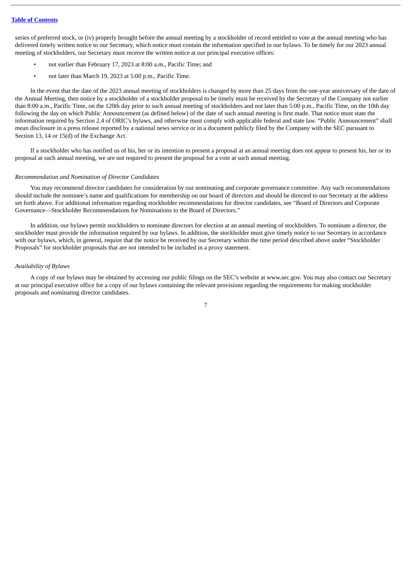series of preferred stock, or (iv) properly brought before the annual meeting by a stockholder of record entitled to vote at the annual meeting who has delivered timely written notice to our Secretary, which notice must contain the information specified in our bylaws. To be timely for our 2023 annual meeting of stockholders, our Secretary must receive the written notice at our principal executive offices:

- not earlier than February 17, 2023 at 8:00 a.m., Pacific Time; and
- not later than March 19, 2023 at 5:00 p.m., Pacific Time.

In the event that the date of the 2023 annual meeting of stockholders is changed by more than 25 days from the one-year anniversary of the date of the Annual Meeting, then notice by a stockholder of a stockholder proposal to be timely must be received by the Secretary of the Company not earlier than 8:00 a.m., Pacific Time, on the 120th day prior to such annual meeting of stockholders and not later than 5:00 p.m., Pacific Time, on the 10th day following the day on which Public Announcement (as defined below) of the date of such annual meeting is first made. That notice must state the information required by Section 2.4 of ORIC's bylaws, and otherwise must comply with applicable federal and state law. "Public Announcement" shall mean disclosure in a press release reported by a national news service or in a document publicly filed by the Company with the SEC pursuant to Section 13, 14 or 15(d) of the Exchange Act.

If a stockholder who has notified us of his, her or its intention to present a proposal at an annual meeting does not appear to present his, her or its proposal at such annual meeting, we are not required to present the proposal for a vote at such annual meeting.

#### *Recommendation and Nomination of Director Candidates*

You may recommend director candidates for consideration by our nominating and corporate governance committee. Any such recommendations should include the nominee's name and qualifications for membership on our board of directors and should be directed to our Secretary at the address set forth above. For additional information regarding stockholder recommendations for director candidates, see "Board of Directors and Corporate Governance—Stockholder Recommendations for Nominations to the Board of Directors."

In addition, our bylaws permit stockholders to nominate directors for election at an annual meeting of stockholders. To nominate a director, the stockholder must provide the information required by our bylaws. In addition, the stockholder must give timely notice to our Secretary in accordance with our bylaws, which, in general, require that the notice be received by our Secretary within the time period described above under "Stockholder Proposals" for stockholder proposals that are not intended to be included in a proxy statement.

#### *Availability of Bylaws*

A copy of our bylaws may be obtained by accessing our public filings on the SEC's website at www.sec.gov. You may also contact our Secretary at our principal executive office for a copy of our bylaws containing the relevant provisions regarding the requirements for making stockholder proposals and nominating director candidates.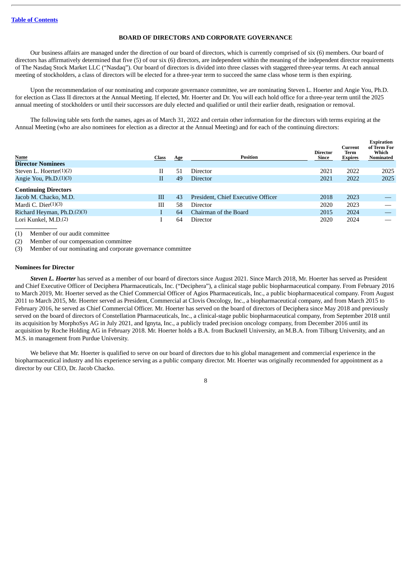## **BOARD OF DIRECTORS AND CORPORATE GOVERNANCE**

<span id="page-12-0"></span>Our business affairs are managed under the direction of our board of directors, which is currently comprised of six (6) members. Our board of directors has affirmatively determined that five (5) of our six (6) directors, are independent within the meaning of the independent director requirements of The Nasdaq Stock Market LLC ("Nasdaq"). Our board of directors is divided into three classes with staggered three-year terms. At each annual meeting of stockholders, a class of directors will be elected for a three-year term to succeed the same class whose term is then expiring.

Upon the recommendation of our nominating and corporate governance committee, we are nominating Steven L. Hoerter and Angie You, Ph.D. for election as Class II directors at the Annual Meeting. If elected, Mr. Hoerter and Dr. You will each hold office for a three-year term until the 2025 annual meeting of stockholders or until their successors are duly elected and qualified or until their earlier death, resignation or removal.

The following table sets forth the names, ages as of March 31, 2022 and certain other information for the directors with terms expiring at the Annual Meeting (who are also nominees for election as a director at the Annual Meeting) and for each of the continuing directors:

| <b>Name</b><br><b>Director Nominees</b> | <b>Class</b> | <b>Age</b> | <b>Position</b>                    | <b>Director</b><br>Since | Current<br>Term<br><b>Expires</b> | Expiration<br>of Term For<br>Which<br><b>Nominated</b> |
|-----------------------------------------|--------------|------------|------------------------------------|--------------------------|-----------------------------------|--------------------------------------------------------|
| Steven L. Hoerter $(1)(2)$              | Н            | 51         | Director                           | 2021                     | 2022                              | 2025                                                   |
| Angie You, Ph.D.(1)(3)                  | $_{\rm II}$  | 49         | <b>Director</b>                    | 2021                     | 2022                              | 2025                                                   |
| <b>Continuing Directors</b>             |              |            |                                    |                          |                                   |                                                        |
| Jacob M. Chacko, M.D.                   | Ш            | 43         | President, Chief Executive Officer | 2018                     | 2023                              |                                                        |
| Mardi C. Dier $(1)(3)$                  | Ш            | 58         | Director                           | 2020                     | 2023                              |                                                        |
| Richard Heyman, Ph.D.(2)(3)             |              | 64         | Chairman of the Board              | 2015                     | 2024                              |                                                        |
| Lori Kunkel, M.D. <sup>(2)</sup>        |              | 64         | Director                           | 2020                     | 2024                              |                                                        |

(1) Member of our audit committee

(2) Member of our compensation committee

(3) Member of our nominating and corporate governance committee

### **Nominees for Director**

*Steven L. Hoerter* has served as a member of our board of directors since August 2021. Since March 2018, Mr. Hoerter has served as President and Chief Executive Officer of Deciphera Pharmaceuticals, Inc. ("Deciphera"), a clinical stage public biopharmaceutical company. From February 2016 to March 2019, Mr. Hoerter served as the Chief Commercial Officer of Agios Pharmaceuticals, Inc., a public biopharmaceutical company. From August 2011 to March 2015, Mr. Hoerter served as President, Commercial at Clovis Oncology, Inc., a biopharmaceutical company, and from March 2015 to February 2016, he served as Chief Commercial Officer. Mr. Hoerter has served on the board of directors of Deciphera since May 2018 and previously served on the board of directors of Constellation Pharmaceuticals, Inc., a clinical-stage public biopharmaceutical company, from September 2018 until its acquisition by MorphoSys AG in July 2021, and Ignyta, Inc., a publicly traded precision oncology company, from December 2016 until its acquisition by Roche Holding AG in February 2018. Mr. Hoerter holds a B.A. from Bucknell University, an M.B.A. from Tilburg University, and an M.S. in management from Purdue University.

We believe that Mr. Hoerter is qualified to serve on our board of directors due to his global management and commercial experience in the biopharmaceutical industry and his experience serving as a public company director. Mr. Hoerter was originally recommended for appointment as a director by our CEO, Dr. Jacob Chacko.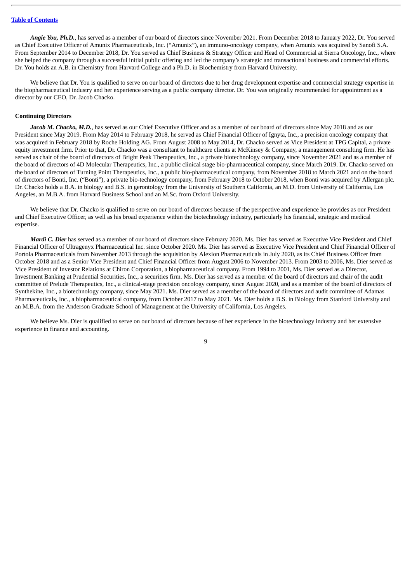*Angie You, Ph.D.*, has served as a member of our board of directors since November 2021. From December 2018 to January 2022, Dr. You served as Chief Executive Officer of Amunix Pharmaceuticals, Inc. ("Amunix"), an immuno-oncology company, when Amunix was acquired by Sanofi S.A. From September 2014 to December 2018, Dr. You served as Chief Business & Strategy Officer and Head of Commercial at Sierra Oncology, Inc., where she helped the company through a successful initial public offering and led the company's strategic and transactional business and commercial efforts. Dr. You holds an A.B. in Chemistry from Harvard College and a Ph.D. in Biochemistry from Harvard University.

We believe that Dr. You is qualified to serve on our board of directors due to her drug development expertise and commercial strategy expertise in the biopharmaceutical industry and her experience serving as a public company director. Dr. You was originally recommended for appointment as a director by our CEO, Dr. Jacob Chacko.

## **Continuing Directors**

*Jacob M. Chacko, M.D.*, has served as our Chief Executive Officer and as a member of our board of directors since May 2018 and as our President since May 2019. From May 2014 to February 2018, he served as Chief Financial Officer of Ignyta, Inc., a precision oncology company that was acquired in February 2018 by Roche Holding AG. From August 2008 to May 2014, Dr. Chacko served as Vice President at TPG Capital, a private equity investment firm. Prior to that, Dr. Chacko was a consultant to healthcare clients at McKinsey & Company, a management consulting firm. He has served as chair of the board of directors of Bright Peak Therapeutics, Inc., a private biotechnology company, since November 2021 and as a member of the board of directors of 4D Molecular Therapeutics, Inc., a public clinical stage bio-pharmaceutical company, since March 2019. Dr. Chacko served on the board of directors of Turning Point Therapeutics, Inc., a public bio-pharmaceutical company, from November 2018 to March 2021 and on the board of directors of Bonti, Inc. ("Bonti"), a private bio-technology company, from February 2018 to October 2018, when Bonti was acquired by Allergan plc. Dr. Chacko holds a B.A. in biology and B.S. in gerontology from the University of Southern California, an M.D. from University of California, Los Angeles, an M.B.A. from Harvard Business School and an M.Sc. from Oxford University.

We believe that Dr. Chacko is qualified to serve on our board of directors because of the perspective and experience he provides as our President and Chief Executive Officer, as well as his broad experience within the biotechnology industry, particularly his financial, strategic and medical expertise.

*Mardi C. Dier* has served as a member of our board of directors since February 2020. Ms. Dier has served as Executive Vice President and Chief Financial Officer of Ultragenyx Pharmaceutical Inc. since October 2020. Ms. Dier has served as Executive Vice President and Chief Financial Officer of Portola Pharmaceuticals from November 2013 through the acquisition by Alexion Pharmaceuticals in July 2020, as its Chief Business Officer from October 2018 and as a Senior Vice President and Chief Financial Officer from August 2006 to November 2013. From 2003 to 2006, Ms. Dier served as Vice President of Investor Relations at Chiron Corporation, a biopharmaceutical company. From 1994 to 2001, Ms. Dier served as a Director, Investment Banking at Prudential Securities, Inc., a securities firm. Ms. Dier has served as a member of the board of directors and chair of the audit committee of Prelude Therapeutics, Inc., a clinical-stage precision oncology company, since August 2020, and as a member of the board of directors of Synthekine, Inc., a biotechnology company, since May 2021. Ms. Dier served as a member of the board of directors and audit committee of Adamas Pharmaceuticals, Inc., a biopharmaceutical company, from October 2017 to May 2021. Ms. Dier holds a B.S. in Biology from Stanford University and an M.B.A. from the Anderson Graduate School of Management at the University of California, Los Angeles.

We believe Ms. Dier is qualified to serve on our board of directors because of her experience in the biotechnology industry and her extensive experience in finance and accounting.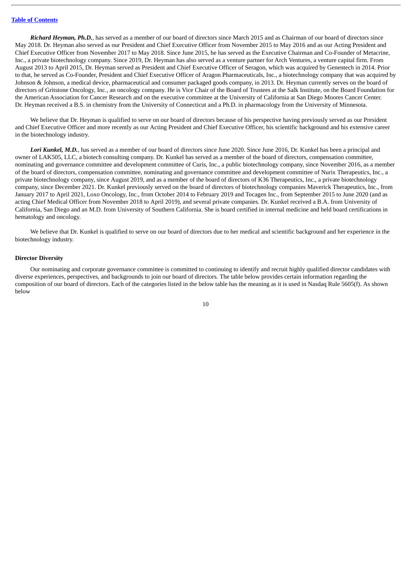*Richard Heyman, Ph.D.*, has served as a member of our board of directors since March 2015 and as Chairman of our board of directors since May 2018. Dr. Heyman also served as our President and Chief Executive Officer from November 2015 to May 2016 and as our Acting President and Chief Executive Officer from November 2017 to May 2018. Since June 2015, he has served as the Executive Chairman and Co-Founder of Metacrine, Inc., a private biotechnology company. Since 2019, Dr. Heyman has also served as a venture partner for Arch Ventures, a venture capital firm. From August 2013 to April 2015, Dr. Heyman served as President and Chief Executive Officer of Seragon, which was acquired by Genentech in 2014. Prior to that, he served as Co-Founder, President and Chief Executive Officer of Aragon Pharmaceuticals, Inc., a biotechnology company that was acquired by Johnson & Johnson, a medical device, pharmaceutical and consumer packaged goods company, in 2013. Dr. Heyman currently serves on the board of directors of Gritstone Oncology, Inc., an oncology company. He is Vice Chair of the Board of Trustees at the Salk Institute, on the Board Foundation for the American Association for Cancer Research and on the executive committee at the University of California at San Diego Moores Cancer Center. Dr. Heyman received a B.S. in chemistry from the University of Connecticut and a Ph.D. in pharmacology from the University of Minnesota.

We believe that Dr. Heyman is qualified to serve on our board of directors because of his perspective having previously served as our President and Chief Executive Officer and more recently as our Acting President and Chief Executive Officer, his scientific background and his extensive career in the biotechnology industry.

*Lori Kunkel, M.D.*, has served as a member of our board of directors since June 2020. Since June 2016, Dr. Kunkel has been a principal and owner of LAK505, LLC, a biotech consulting company. Dr. Kunkel has served as a member of the board of directors, compensation committee, nominating and governance committee and development committee of Curis, Inc., a public biotechnology company, since November 2016, as a member of the board of directors, compensation committee, nominating and governance committee and development committee of Nurix Therapeutics, Inc., a private biotechnology company, since August 2019, and as a member of the board of directors of K36 Therapeutics, Inc., a private biotechnology company, since December 2021. Dr. Kunkel previously served on the board of directors of biotechnology companies Maverick Therapeutics, Inc., from January 2017 to April 2021, Loxo Oncology, Inc., from October 2014 to February 2019 and Tocagen Inc., from September 2015 to June 2020 (and as acting Chief Medical Officer from November 2018 to April 2019), and several private companies. Dr. Kunkel received a B.A. from University of California, San Diego and an M.D. from University of Southern California. She is board certified in internal medicine and held board certifications in hematology and oncology.

We believe that Dr. Kunkel is qualified to serve on our board of directors due to her medical and scientific background and her experience in the biotechnology industry.

#### **Director Diversity**

Our nominating and corporate governance committee is committed to continuing to identify and recruit highly qualified director candidates with diverse experiences, perspectives, and backgrounds to join our board of directors. The table below provides certain information regarding the composition of our board of directors. Each of the categories listed in the below table has the meaning as it is used in Nasdaq Rule 5605(f). As shown below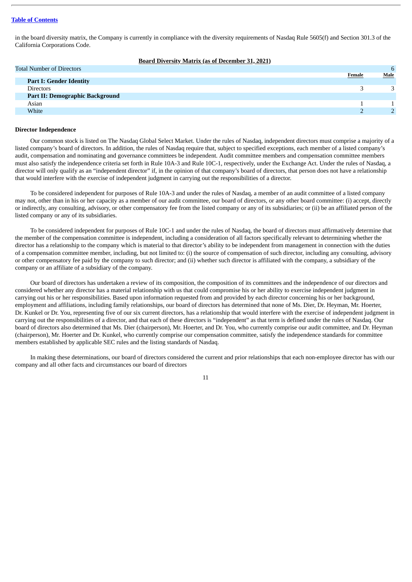in the board diversity matrix, the Company is currently in compliance with the diversity requirements of Nasdaq Rule 5605(f) and Section 301.3 of the California Corporations Code.

| <b>Board Diversity Matrix (as of December 31, 2021)</b> |
|---------------------------------------------------------|
|---------------------------------------------------------|

| <b>Total Number of Directors</b>       |        | 6    |
|----------------------------------------|--------|------|
|                                        | Female | Male |
| <b>Part I: Gender Identity</b>         |        |      |
| <b>Directors</b>                       |        |      |
| <b>Part II: Demographic Background</b> |        |      |
| Asian                                  |        |      |
| White                                  |        |      |

#### **Director Independence**

Our common stock is listed on The Nasdaq Global Select Market. Under the rules of Nasdaq, independent directors must comprise a majority of a listed company's board of directors. In addition, the rules of Nasdaq require that, subject to specified exceptions, each member of a listed company's audit, compensation and nominating and governance committees be independent. Audit committee members and compensation committee members must also satisfy the independence criteria set forth in Rule 10A-3 and Rule 10C-1, respectively, under the Exchange Act. Under the rules of Nasdaq, a director will only qualify as an "independent director" if, in the opinion of that company's board of directors, that person does not have a relationship that would interfere with the exercise of independent judgment in carrying out the responsibilities of a director.

To be considered independent for purposes of Rule 10A-3 and under the rules of Nasdaq, a member of an audit committee of a listed company may not, other than in his or her capacity as a member of our audit committee, our board of directors, or any other board committee: (i) accept, directly or indirectly, any consulting, advisory, or other compensatory fee from the listed company or any of its subsidiaries; or (ii) be an affiliated person of the listed company or any of its subsidiaries.

To be considered independent for purposes of Rule 10C-1 and under the rules of Nasdaq, the board of directors must affirmatively determine that the member of the compensation committee is independent, including a consideration of all factors specifically relevant to determining whether the director has a relationship to the company which is material to that director's ability to be independent from management in connection with the duties of a compensation committee member, including, but not limited to: (i) the source of compensation of such director, including any consulting, advisory or other compensatory fee paid by the company to such director; and (ii) whether such director is affiliated with the company, a subsidiary of the company or an affiliate of a subsidiary of the company.

Our board of directors has undertaken a review of its composition, the composition of its committees and the independence of our directors and considered whether any director has a material relationship with us that could compromise his or her ability to exercise independent judgment in carrying out his or her responsibilities. Based upon information requested from and provided by each director concerning his or her background, employment and affiliations, including family relationships, our board of directors has determined that none of Ms. Dier, Dr. Heyman, Mr. Hoerter, Dr. Kunkel or Dr. You, representing five of our six current directors, has a relationship that would interfere with the exercise of independent judgment in carrying out the responsibilities of a director, and that each of these directors is "independent" as that term is defined under the rules of Nasdaq. Our board of directors also determined that Ms. Dier (chairperson), Mr. Hoerter, and Dr. You, who currently comprise our audit committee, and Dr. Heyman (chairperson), Mr. Hoerter and Dr. Kunkel, who currently comprise our compensation committee, satisfy the independence standards for committee members established by applicable SEC rules and the listing standards of Nasdaq.

In making these determinations, our board of directors considered the current and prior relationships that each non-employee director has with our company and all other facts and circumstances our board of directors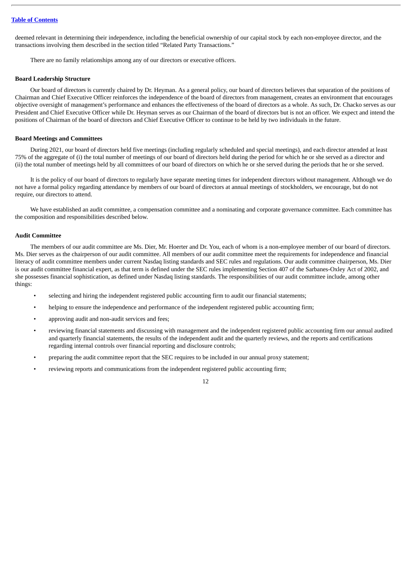deemed relevant in determining their independence, including the beneficial ownership of our capital stock by each non-employee director, and the transactions involving them described in the section titled "Related Party Transactions."

There are no family relationships among any of our directors or executive officers.

#### **Board Leadership Structure**

Our board of directors is currently chaired by Dr. Heyman. As a general policy, our board of directors believes that separation of the positions of Chairman and Chief Executive Officer reinforces the independence of the board of directors from management, creates an environment that encourages objective oversight of management's performance and enhances the effectiveness of the board of directors as a whole. As such, Dr. Chacko serves as our President and Chief Executive Officer while Dr. Heyman serves as our Chairman of the board of directors but is not an officer. We expect and intend the positions of Chairman of the board of directors and Chief Executive Officer to continue to be held by two individuals in the future.

#### **Board Meetings and Committees**

During 2021, our board of directors held five meetings (including regularly scheduled and special meetings), and each director attended at least 75% of the aggregate of (i) the total number of meetings of our board of directors held during the period for which he or she served as a director and (ii) the total number of meetings held by all committees of our board of directors on which he or she served during the periods that he or she served.

It is the policy of our board of directors to regularly have separate meeting times for independent directors without management. Although we do not have a formal policy regarding attendance by members of our board of directors at annual meetings of stockholders, we encourage, but do not require, our directors to attend.

We have established an audit committee, a compensation committee and a nominating and corporate governance committee. Each committee has the composition and responsibilities described below.

#### **Audit Committee**

The members of our audit committee are Ms. Dier, Mr. Hoerter and Dr. You, each of whom is a non-employee member of our board of directors. Ms. Dier serves as the chairperson of our audit committee. All members of our audit committee meet the requirements for independence and financial literacy of audit committee members under current Nasdaq listing standards and SEC rules and regulations. Our audit committee chairperson, Ms. Dier is our audit committee financial expert, as that term is defined under the SEC rules implementing Section 407 of the Sarbanes-Oxley Act of 2002, and she possesses financial sophistication, as defined under Nasdaq listing standards. The responsibilities of our audit committee include, among other things:

- selecting and hiring the independent registered public accounting firm to audit our financial statements;
- helping to ensure the independence and performance of the independent registered public accounting firm;
- approving audit and non-audit services and fees;
- reviewing financial statements and discussing with management and the independent registered public accounting firm our annual audited and quarterly financial statements, the results of the independent audit and the quarterly reviews, and the reports and certifications regarding internal controls over financial reporting and disclosure controls;
- preparing the audit committee report that the SEC requires to be included in our annual proxy statement;
- reviewing reports and communications from the independent registered public accounting firm;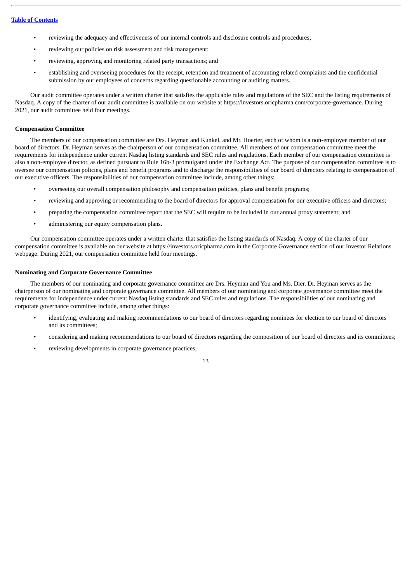- reviewing the adequacy and effectiveness of our internal controls and disclosure controls and procedures;
- reviewing our policies on risk assessment and risk management;
- reviewing, approving and monitoring related party transactions; and
- establishing and overseeing procedures for the receipt, retention and treatment of accounting related complaints and the confidential submission by our employees of concerns regarding questionable accounting or auditing matters.

Our audit committee operates under a written charter that satisfies the applicable rules and regulations of the SEC and the listing requirements of Nasdaq. A copy of the charter of our audit committee is available on our website at https://investors.oricpharma.com/corporate-governance. During 2021, our audit committee held four meetings.

### **Compensation Committee**

The members of our compensation committee are Drs. Heyman and Kunkel, and Mr. Hoerter, each of whom is a non-employee member of our board of directors. Dr. Heyman serves as the chairperson of our compensation committee. All members of our compensation committee meet the requirements for independence under current Nasdaq listing standards and SEC rules and regulations. Each member of our compensation committee is also a non-employee director, as defined pursuant to Rule 16b-3 promulgated under the Exchange Act. The purpose of our compensation committee is to oversee our compensation policies, plans and benefit programs and to discharge the responsibilities of our board of directors relating to compensation of our executive officers. The responsibilities of our compensation committee include, among other things:

- overseeing our overall compensation philosophy and compensation policies, plans and benefit programs;
- reviewing and approving or recommending to the board of directors for approval compensation for our executive officers and directors;
- preparing the compensation committee report that the SEC will require to be included in our annual proxy statement; and
- administering our equity compensation plans.

Our compensation committee operates under a written charter that satisfies the listing standards of Nasdaq. A copy of the charter of our compensation committee is available on our website at https://investors.oricpharma.com in the Corporate Governance section of our Investor Relations webpage. During 2021, our compensation committee held four meetings.

## **Nominating and Corporate Governance Committee**

The members of our nominating and corporate governance committee are Drs. Heyman and You and Ms. Dier. Dr. Heyman serves as the chairperson of our nominating and corporate governance committee. All members of our nominating and corporate governance committee meet the requirements for independence under current Nasdaq listing standards and SEC rules and regulations. The responsibilities of our nominating and corporate governance committee include, among other things:

- identifying, evaluating and making recommendations to our board of directors regarding nominees for election to our board of directors and its committees;
- considering and making recommendations to our board of directors regarding the composition of our board of directors and its committees;
- reviewing developments in corporate governance practices;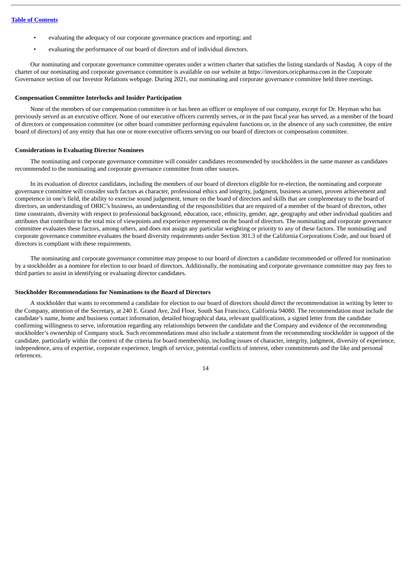- evaluating the adequacy of our corporate governance practices and reporting; and
- evaluating the performance of our board of directors and of individual directors.

Our nominating and corporate governance committee operates under a written charter that satisfies the listing standards of Nasdaq. A copy of the charter of our nominating and corporate governance committee is available on our website at https://investors.oricpharma.com in the Corporate Governance section of our Investor Relations webpage. During 2021, our nominating and corporate governance committee held three meetings.

## **Compensation Committee Interlocks and Insider Participation**

None of the members of our compensation committee is or has been an officer or employee of our company, except for Dr. Heyman who has previously served as an executive officer. None of our executive officers currently serves, or in the past fiscal year has served, as a member of the board of directors or compensation committee (or other board committee performing equivalent functions or, in the absence of any such committee, the entire board of directors) of any entity that has one or more executive officers serving on our board of directors or compensation committee.

#### **Considerations in Evaluating Director Nominees**

The nominating and corporate governance committee will consider candidates recommended by stockholders in the same manner as candidates recommended to the nominating and corporate governance committee from other sources.

In its evaluation of director candidates, including the members of our board of directors eligible for re-election, the nominating and corporate governance committee will consider such factors as character, professional ethics and integrity, judgment, business acumen, proven achievement and competence in one's field, the ability to exercise sound judgement, tenure on the board of directors and skills that are complementary to the board of directors, an understanding of ORIC's business, an understanding of the responsibilities that are required of a member of the board of directors, other time constraints, diversity with respect to professional background, education, race, ethnicity, gender, age, geography and other individual qualities and attributes that contribute to the total mix of viewpoints and experience represented on the board of directors. The nominating and corporate governance committee evaluates these factors, among others, and does not assign any particular weighting or priority to any of these factors. The nominating and corporate governance committee evaluates the board diversity requirements under Section 301.3 of the California Corporations Code, and our board of directors is compliant with these requirements.

The nominating and corporate governance committee may propose to our board of directors a candidate recommended or offered for nomination by a stockholder as a nominee for election to our board of directors. Additionally, the nominating and corporate governance committee may pay fees to third parties to assist in identifying or evaluating director candidates.

#### **Stockholder Recommendations for Nominations to the Board of Directors**

A stockholder that wants to recommend a candidate for election to our board of directors should direct the recommendation in writing by letter to the Company, attention of the Secretary, at 240 E. Grand Ave, 2nd Floor, South San Francisco, California 94080. The recommendation must include the candidate's name, home and business contact information, detailed biographical data, relevant qualifications, a signed letter from the candidate confirming willingness to serve, information regarding any relationships between the candidate and the Company and evidence of the recommending stockholder's ownership of Company stock. Such recommendations must also include a statement from the recommending stockholder in support of the candidate, particularly within the context of the criteria for board membership, including issues of character, integrity, judgment, diversity of experience, independence, area of expertise, corporate experience, length of service, potential conflicts of interest, other commitments and the like and personal references.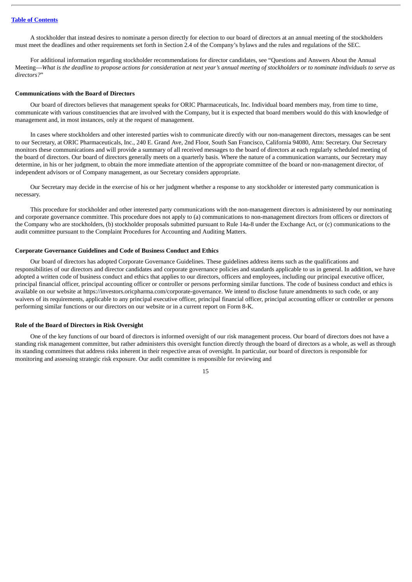A stockholder that instead desires to nominate a person directly for election to our board of directors at an annual meeting of the stockholders must meet the deadlines and other requirements set forth in Section 2.4 of the Company's bylaws and the rules and regulations of the SEC.

For additional information regarding stockholder recommendations for director candidates, see "Questions and Answers About the Annual Meeting—What is the deadline to propose actions for consideration at next year's annual meeting of stockholders or to nominate individuals to serve as *directors?*"

#### **Communications with the Board of Directors**

Our board of directors believes that management speaks for ORIC Pharmaceuticals, Inc. Individual board members may, from time to time, communicate with various constituencies that are involved with the Company, but it is expected that board members would do this with knowledge of management and, in most instances, only at the request of management.

In cases where stockholders and other interested parties wish to communicate directly with our non-management directors, messages can be sent to our Secretary, at ORIC Pharmaceuticals, Inc., 240 E. Grand Ave, 2nd Floor, South San Francisco, California 94080, Attn: Secretary. Our Secretary monitors these communications and will provide a summary of all received messages to the board of directors at each regularly scheduled meeting of the board of directors. Our board of directors generally meets on a quarterly basis. Where the nature of a communication warrants, our Secretary may determine, in his or her judgment, to obtain the more immediate attention of the appropriate committee of the board or non-management director, of independent advisors or of Company management, as our Secretary considers appropriate.

Our Secretary may decide in the exercise of his or her judgment whether a response to any stockholder or interested party communication is necessary.

This procedure for stockholder and other interested party communications with the non-management directors is administered by our nominating and corporate governance committee. This procedure does not apply to (a) communications to non-management directors from officers or directors of the Company who are stockholders, (b) stockholder proposals submitted pursuant to Rule 14a-8 under the Exchange Act, or (c) communications to the audit committee pursuant to the Complaint Procedures for Accounting and Auditing Matters.

#### **Corporate Governance Guidelines and Code of Business Conduct and Ethics**

Our board of directors has adopted Corporate Governance Guidelines. These guidelines address items such as the qualifications and responsibilities of our directors and director candidates and corporate governance policies and standards applicable to us in general. In addition, we have adopted a written code of business conduct and ethics that applies to our directors, officers and employees, including our principal executive officer, principal financial officer, principal accounting officer or controller or persons performing similar functions. The code of business conduct and ethics is available on our website at https://investors.oricpharma.com/corporate-governance. We intend to disclose future amendments to such code, or any waivers of its requirements, applicable to any principal executive officer, principal financial officer, principal accounting officer or controller or persons performing similar functions or our directors on our website or in a current report on Form 8-K.

## **Role of the Board of Directors in Risk Oversight**

One of the key functions of our board of directors is informed oversight of our risk management process. Our board of directors does not have a standing risk management committee, but rather administers this oversight function directly through the board of directors as a whole, as well as through its standing committees that address risks inherent in their respective areas of oversight. In particular, our board of directors is responsible for monitoring and assessing strategic risk exposure. Our audit committee is responsible for reviewing and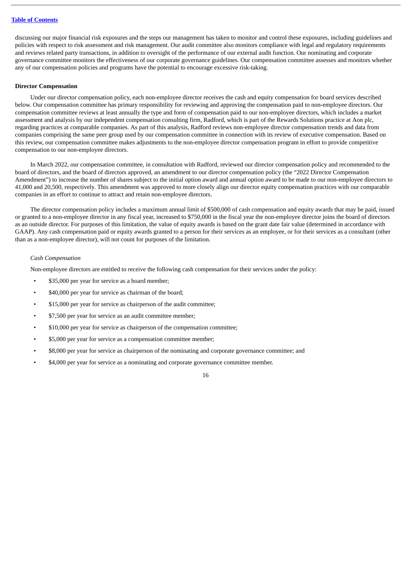discussing our major financial risk exposures and the steps our management has taken to monitor and control these exposures, including guidelines and policies with respect to risk assessment and risk management. Our audit committee also monitors compliance with legal and regulatory requirements and reviews related party transactions, in addition to oversight of the performance of our external audit function. Our nominating and corporate governance committee monitors the effectiveness of our corporate governance guidelines. Our compensation committee assesses and monitors whether any of our compensation policies and programs have the potential to encourage excessive risk-taking.

### **Director Compensation**

Under our director compensation policy, each non-employee director receives the cash and equity compensation for board services described below. Our compensation committee has primary responsibility for reviewing and approving the compensation paid to non-employee directors. Our compensation committee reviews at least annually the type and form of compensation paid to our non-employee directors, which includes a market assessment and analysis by our independent compensation consulting firm, Radford, which is part of the Rewards Solutions practice at Aon plc, regarding practices at comparable companies. As part of this analysis, Radford reviews non-employee director compensation trends and data from companies comprising the same peer group used by our compensation committee in connection with its review of executive compensation. Based on this review, our compensation committee makes adjustments to the non-employee director compensation program in effort to provide competitive compensation to our non-employee directors.

In March 2022, our compensation committee, in consultation with Radford, reviewed our director compensation policy and recommended to the board of directors, and the board of directors approved, an amendment to our director compensation policy (the "2022 Director Compensation Amendment") to increase the number of shares subject to the initial option award and annual option award to be made to our non-employee directors to 41,000 and 20,500, respectively. This amendment was approved to more closely align our director equity compensation practices with our comparable companies in an effort to continue to attract and retain non-employee directors.

The director compensation policy includes a maximum annual limit of \$500,000 of cash compensation and equity awards that may be paid, issued or granted to a non-employee director in any fiscal year, increased to \$750,000 in the fiscal year the non-employee director joins the board of directors as an outside director. For purposes of this limitation, the value of equity awards is based on the grant date fair value (determined in accordance with GAAP). Any cash compensation paid or equity awards granted to a person for their services as an employee, or for their services as a consultant (other than as a non-employee director), will not count for purposes of the limitation.

#### *Cash Compensation*

Non-employee directors are entitled to receive the following cash compensation for their services under the policy:

- \$35,000 per year for service as a board member;
- \$40,000 per year for service as chairman of the board;
- \$15,000 per year for service as chairperson of the audit committee;
- \$7,500 per year for service as an audit committee member;
- \$10,000 per year for service as chairperson of the compensation committee;
- \$5,000 per year for service as a compensation committee member;
- \$8,000 per year for service as chairperson of the nominating and corporate governance committee; and
- \$4,000 per year for service as a nominating and corporate governance committee member.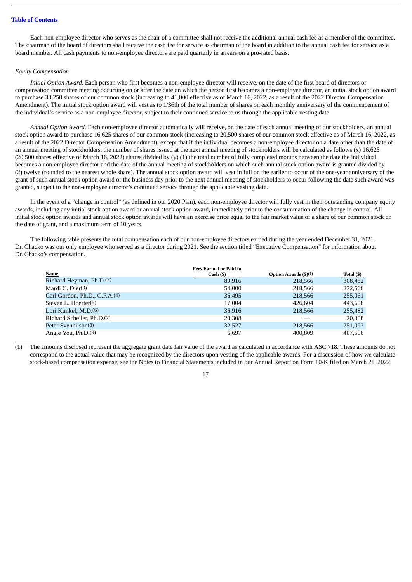Each non-employee director who serves as the chair of a committee shall not receive the additional annual cash fee as a member of the committee. The chairman of the board of directors shall receive the cash fee for service as chairman of the board in addition to the annual cash fee for service as a board member. All cash payments to non-employee directors are paid quarterly in arrears on a pro-rated basis.

## *Equity Compensation*

*Initial Option Award.* Each person who first becomes a non-employee director will receive, on the date of the first board of directors or compensation committee meeting occurring on or after the date on which the person first becomes a non-employee director, an initial stock option award to purchase 33,250 shares of our common stock (increasing to 41,000 effective as of March 16, 2022, as a result of the 2022 Director Compensation Amendment). The initial stock option award will vest as to 1/36th of the total number of shares on each monthly anniversary of the commencement of the individual's service as a non-employee director, subject to their continued service to us through the applicable vesting date.

*Annual Option Award.* Each non-employee director automatically will receive, on the date of each annual meeting of our stockholders, an annual stock option award to purchase 16,625 shares of our common stock (increasing to 20,500 shares of our common stock effective as of March 16, 2022, as a result of the 2022 Director Compensation Amendment), except that if the individual becomes a non-employee director on a date other than the date of an annual meeting of stockholders, the number of shares issued at the next annual meeting of stockholders will be calculated as follows (x) 16,625 (20,500 shares effective of March 16, 2022) shares divided by (y) (1) the total number of fully completed months between the date the individual becomes a non-employee director and the date of the annual meeting of stockholders on which such annual stock option award is granted divided by (2) twelve (rounded to the nearest whole share). The annual stock option award will vest in full on the earlier to occur of the one-year anniversary of the grant of such annual stock option award or the business day prior to the next annual meeting of stockholders to occur following the date such award was granted, subject to the non-employee director's continued service through the applicable vesting date.

In the event of a "change in control" (as defined in our 2020 Plan), each non-employee director will fully vest in their outstanding company equity awards, including any initial stock option award or annual stock option award, immediately prior to the consummation of the change in control. All initial stock option awards and annual stock option awards will have an exercise price equal to the fair market value of a share of our common stock on the date of grant, and a maximum term of 10 years.

The following table presents the total compensation each of our non-employee directors earned during the year ended December 31, 2021. Dr. Chacko was our only employee who served as a director during 2021. See the section titled "Executive Compensation" for information about Dr. Chacko's compensation.

|                                           | <b>Fees Earned or Paid in</b> |                              |            |
|-------------------------------------------|-------------------------------|------------------------------|------------|
| Name                                      | Cash ( <sub>5</sub> )         | <b>Option Awards (\$)(1)</b> | Total (\$) |
| Richard Heyman, Ph.D. <sup>(2)</sup>      | 89,916                        | 218,566                      | 308,482    |
| Mardi C. Dier(3)                          | 54,000                        | 218,566                      | 272,566    |
| Carl Gordon, Ph.D., C.F.A. <sup>(4)</sup> | 36,495                        | 218,566                      | 255,061    |
| Steven L. Hoerter(5)                      | 17,004                        | 426.604                      | 443,608    |
| Lori Kunkel, M.D.(6)                      | 36,916                        | 218,566                      | 255,482    |
| Richard Scheller, Ph.D. <sup>(7)</sup>    | 20,308                        |                              | 20,308     |
| Peter Svennilson <sup>(8)</sup>           | 32,527                        | 218,566                      | 251,093    |
| Angie You, Ph.D. <sup>(9)</sup>           | 6,697                         | 400.809                      | 407,506    |

(1) The amounts disclosed represent the aggregate grant date fair value of the award as calculated in accordance with ASC 718. These amounts do not correspond to the actual value that may be recognized by the directors upon vesting of the applicable awards. For a discussion of how we calculate stock-based compensation expense, see the Notes to Financial Statements included in our Annual Report on Form 10-K filed on March 21, 2022.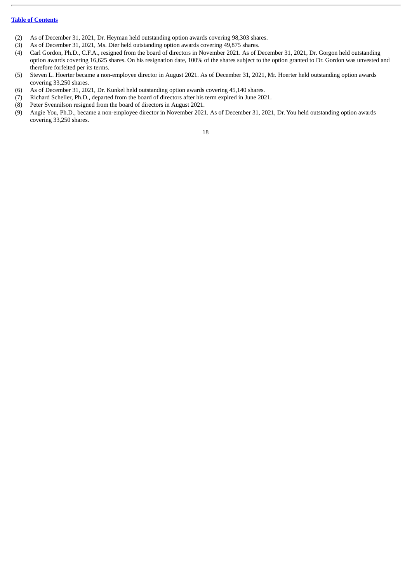- (2) As of December 31, 2021, Dr. Heyman held outstanding option awards covering 98,303 shares.
- (3) As of December 31, 2021, Ms. Dier held outstanding option awards covering 49,875 shares.
- (4) Carl Gordon, Ph.D., C.F.A., resigned from the board of directors in November 2021. As of December 31, 2021, Dr. Gorgon held outstanding option awards covering 16,625 shares. On his resignation date, 100% of the shares subject to the option granted to Dr. Gordon was unvested and therefore forfeited per its terms.
- (5) Steven L. Hoerter became a non-employee director in August 2021. As of December 31, 2021, Mr. Hoerter held outstanding option awards covering 33,250 shares.
- (6) As of December 31, 2021, Dr. Kunkel held outstanding option awards covering 45,140 shares.
- (7) Richard Scheller, Ph.D., departed from the board of directors after his term expired in June 2021.
- (8) Peter Svennilson resigned from the board of directors in August 2021.
- (9) Angie You, Ph.D., became a non-employee director in November 2021. As of December 31, 2021, Dr. You held outstanding option awards covering 33,250 shares.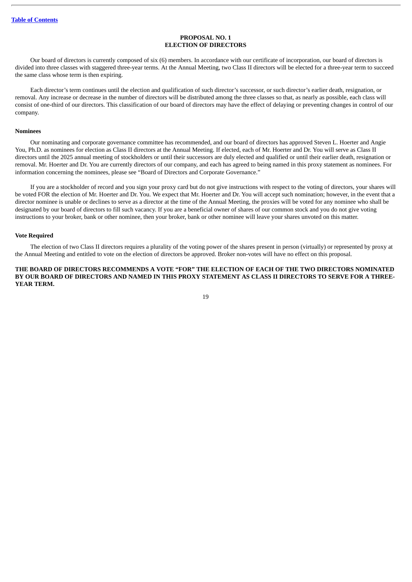## **PROPOSAL NO. 1 ELECTION OF DIRECTORS**

<span id="page-23-0"></span>Our board of directors is currently composed of six (6) members. In accordance with our certificate of incorporation, our board of directors is divided into three classes with staggered three-year terms. At the Annual Meeting, two Class II directors will be elected for a three-year term to succeed the same class whose term is then expiring.

Each director's term continues until the election and qualification of such director's successor, or such director's earlier death, resignation, or removal. Any increase or decrease in the number of directors will be distributed among the three classes so that, as nearly as possible, each class will consist of one-third of our directors. This classification of our board of directors may have the effect of delaying or preventing changes in control of our company.

#### **Nominees**

Our nominating and corporate governance committee has recommended, and our board of directors has approved Steven L. Hoerter and Angie You, Ph.D. as nominees for election as Class II directors at the Annual Meeting. If elected, each of Mr. Hoerter and Dr. You will serve as Class II directors until the 2025 annual meeting of stockholders or until their successors are duly elected and qualified or until their earlier death, resignation or removal. Mr. Hoerter and Dr. You are currently directors of our company, and each has agreed to being named in this proxy statement as nominees. For information concerning the nominees, please see "Board of Directors and Corporate Governance."

If you are a stockholder of record and you sign your proxy card but do not give instructions with respect to the voting of directors, your shares will be voted FOR the election of Mr. Hoerter and Dr. You. We expect that Mr. Hoerter and Dr. You will accept such nomination; however, in the event that a director nominee is unable or declines to serve as a director at the time of the Annual Meeting, the proxies will be voted for any nominee who shall be designated by our board of directors to fill such vacancy. If you are a beneficial owner of shares of our common stock and you do not give voting instructions to your broker, bank or other nominee, then your broker, bank or other nominee will leave your shares unvoted on this matter.

#### **Vote Required**

The election of two Class II directors requires a plurality of the voting power of the shares present in person (virtually) or represented by proxy at the Annual Meeting and entitled to vote on the election of directors be approved. Broker non-votes will have no effect on this proposal.

## **THE BOARD OF DIRECTORS RECOMMENDS A VOTE "FOR" THE ELECTION OF EACH OF THE TWO DIRECTORS NOMINATED** BY OUR BOARD OF DIRECTORS AND NAMED IN THIS PROXY STATEMENT AS CLASS II DIRECTORS TO SERVE FOR A THREE-**YEAR TERM.**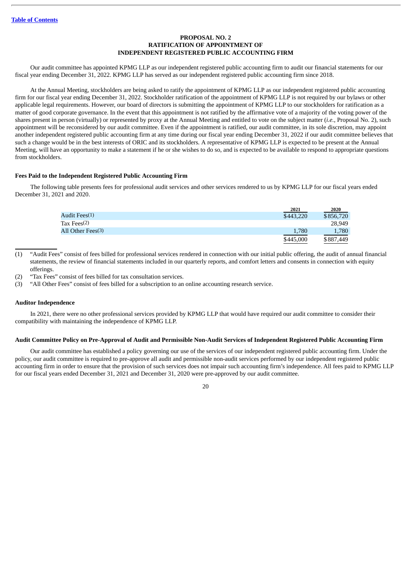## **PROPOSAL NO. 2 RATIFICATION OF APPOINTMENT OF INDEPENDENT REGISTERED PUBLIC ACCOUNTING FIRM**

<span id="page-24-0"></span>Our audit committee has appointed KPMG LLP as our independent registered public accounting firm to audit our financial statements for our fiscal year ending December 31, 2022. KPMG LLP has served as our independent registered public accounting firm since 2018.

At the Annual Meeting, stockholders are being asked to ratify the appointment of KPMG LLP as our independent registered public accounting firm for our fiscal year ending December 31, 2022. Stockholder ratification of the appointment of KPMG LLP is not required by our bylaws or other applicable legal requirements. However, our board of directors is submitting the appointment of KPMG LLP to our stockholders for ratification as a matter of good corporate governance. In the event that this appointment is not ratified by the affirmative vote of a majority of the voting power of the shares present in person (virtually) or represented by proxy at the Annual Meeting and entitled to vote on the subject matter (*i.e.*, Proposal No. 2), such appointment will be reconsidered by our audit committee. Even if the appointment is ratified, our audit committee, in its sole discretion, may appoint another independent registered public accounting firm at any time during our fiscal year ending December 31, 2022 if our audit committee believes that such a change would be in the best interests of ORIC and its stockholders. A representative of KPMG LLP is expected to be present at the Annual Meeting, will have an opportunity to make a statement if he or she wishes to do so, and is expected to be available to respond to appropriate questions from stockholders.

#### **Fees Paid to the Independent Registered Public Accounting Firm**

The following table presents fees for professional audit services and other services rendered to us by KPMG LLP for our fiscal years ended December 31, 2021 and 2020.

|                           | 2021      | 2020      |
|---------------------------|-----------|-----------|
| Audit Fees <sup>(1)</sup> | \$443,220 | \$856,720 |
| Tax Fees(2)               |           | 28,949    |
| All Other Fees(3)         | 1,780     | 1,780     |
|                           | \$445,000 | \$887,449 |

(1) "Audit Fees" consist of fees billed for professional services rendered in connection with our initial public offering, the audit of annual financial statements, the review of financial statements included in our quarterly reports, and comfort letters and consents in connection with equity offerings.

(2) "Tax Fees" consist of fees billed for tax consultation services.

(3) "All Other Fees" consist of fees billed for a subscription to an online accounting research service.

#### **Auditor Independence**

In 2021, there were no other professional services provided by KPMG LLP that would have required our audit committee to consider their compatibility with maintaining the independence of KPMG LLP.

#### Audit Committee Policy on Pre-Approval of Audit and Permissible Non-Audit Services of Independent Registered Public Accounting Firm

Our audit committee has established a policy governing our use of the services of our independent registered public accounting firm. Under the policy, our audit committee is required to pre-approve all audit and permissible non-audit services performed by our independent registered public accounting firm in order to ensure that the provision of such services does not impair such accounting firm's independence. All fees paid to KPMG LLP for our fiscal years ended December 31, 2021 and December 31, 2020 were pre-approved by our audit committee.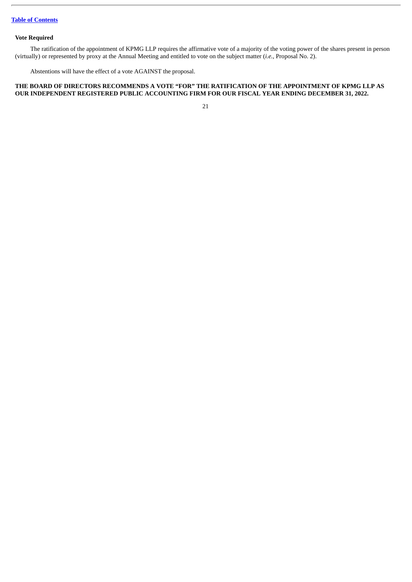## **Vote Required**

The ratification of the appointment of KPMG LLP requires the affirmative vote of a majority of the voting power of the shares present in person (virtually) or represented by proxy at the Annual Meeting and entitled to vote on the subject matter (*i.e.*, Proposal No. 2).

Abstentions will have the effect of a vote AGAINST the proposal.

## **THE BOARD OF DIRECTORS RECOMMENDS A VOTE "FOR" THE RATIFICATION OF THE APPOINTMENT OF KPMG LLP AS OUR INDEPENDENT REGISTERED PUBLIC ACCOUNTING FIRM FOR OUR FISCAL YEAR ENDING DECEMBER 31, 2022.**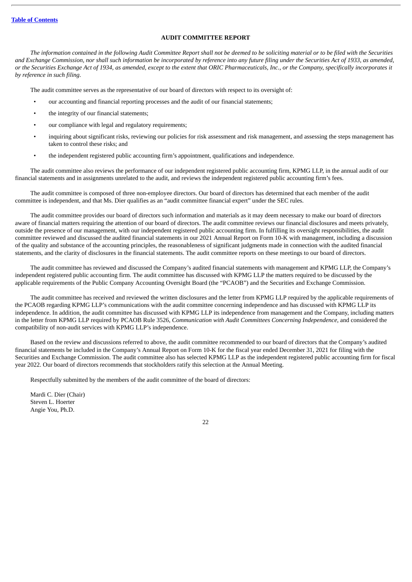## **AUDIT COMMITTEE REPORT**

<span id="page-26-0"></span>The information contained in the following Audit Committee Report shall not be deemed to be soliciting material or to be filed with the Securities and Exchange Commission, nor shall such information be incorporated by reference into any future filing under the Securities Act of 1933, as amended, or the Securities Exchange Act of 1934, as amended, except to the extent that ORIC Pharmaceuticals, Inc., or the Company, specifically incorporates it *by reference in such filing.*

The audit committee serves as the representative of our board of directors with respect to its oversight of:

- our accounting and financial reporting processes and the audit of our financial statements;
- the integrity of our financial statements;
- our compliance with legal and regulatory requirements;
- inquiring about significant risks, reviewing our policies for risk assessment and risk management, and assessing the steps management has taken to control these risks; and
- the independent registered public accounting firm's appointment, qualifications and independence.

The audit committee also reviews the performance of our independent registered public accounting firm, KPMG LLP, in the annual audit of our financial statements and in assignments unrelated to the audit, and reviews the independent registered public accounting firm's fees.

The audit committee is composed of three non-employee directors. Our board of directors has determined that each member of the audit committee is independent, and that Ms. Dier qualifies as an "audit committee financial expert" under the SEC rules.

The audit committee provides our board of directors such information and materials as it may deem necessary to make our board of directors aware of financial matters requiring the attention of our board of directors. The audit committee reviews our financial disclosures and meets privately, outside the presence of our management, with our independent registered public accounting firm. In fulfilling its oversight responsibilities, the audit committee reviewed and discussed the audited financial statements in our 2021 Annual Report on Form 10-K with management, including a discussion of the quality and substance of the accounting principles, the reasonableness of significant judgments made in connection with the audited financial statements, and the clarity of disclosures in the financial statements. The audit committee reports on these meetings to our board of directors.

The audit committee has reviewed and discussed the Company's audited financial statements with management and KPMG LLP, the Company's independent registered public accounting firm. The audit committee has discussed with KPMG LLP the matters required to be discussed by the applicable requirements of the Public Company Accounting Oversight Board (the "PCAOB") and the Securities and Exchange Commission.

The audit committee has received and reviewed the written disclosures and the letter from KPMG LLP required by the applicable requirements of the PCAOB regarding KPMG LLP's communications with the audit committee concerning independence and has discussed with KPMG LLP its independence. In addition, the audit committee has discussed with KPMG LLP its independence from management and the Company, including matters in the letter from KPMG LLP required by PCAOB Rule 3526, *Communication with Audit Committees Concerning Independence*, and considered the compatibility of non-audit services with KPMG LLP's independence.

Based on the review and discussions referred to above, the audit committee recommended to our board of directors that the Company's audited financial statements be included in the Company's Annual Report on Form 10-K for the fiscal year ended December 31, 2021 for filing with the Securities and Exchange Commission. The audit committee also has selected KPMG LLP as the independent registered public accounting firm for fiscal year 2022. Our board of directors recommends that stockholders ratify this selection at the Annual Meeting.

Respectfully submitted by the members of the audit committee of the board of directors:

Mardi C. Dier (Chair) Steven L. Hoerter Angie You, Ph.D.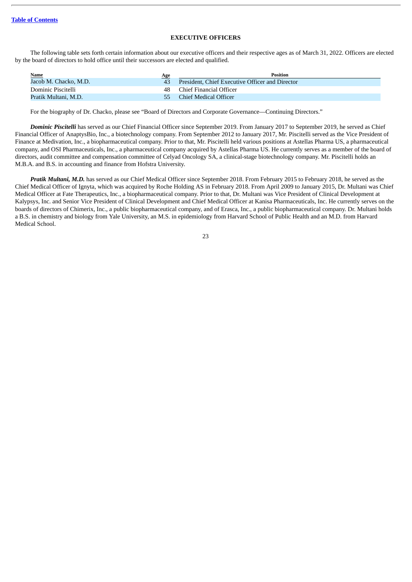## **EXECUTIVE OFFICERS**

<span id="page-27-0"></span>The following table sets forth certain information about our executive officers and their respective ages as of March 31, 2022. Officers are elected by the board of directors to hold office until their successors are elected and qualified.

| <b>Name</b>           | Age | <b>Position</b>                                 |
|-----------------------|-----|-------------------------------------------------|
| Jacob M. Chacko, M.D. | 43  | President, Chief Executive Officer and Director |
| Dominic Piscitelli    | 48. | Chief Financial Officer                         |
| Pratik Multani, M.D.  | 55. | Chief Medical Officer                           |

For the biography of Dr. Chacko, please see "Board of Directors and Corporate Governance—Continuing Directors."

*Dominic Piscitelli* has served as our Chief Financial Officer since September 2019. From January 2017 to September 2019, he served as Chief Financial Officer of AnaptysBio, Inc., a biotechnology company. From September 2012 to January 2017, Mr. Piscitelli served as the Vice President of Finance at Medivation, Inc., a biopharmaceutical company. Prior to that, Mr. Piscitelli held various positions at Astellas Pharma US, a pharmaceutical company, and OSI Pharmaceuticals, Inc., a pharmaceutical company acquired by Astellas Pharma US. He currently serves as a member of the board of directors, audit committee and compensation committee of Celyad Oncology SA, a clinical-stage biotechnology company. Mr. Piscitelli holds an M.B.A. and B.S. in accounting and finance from Hofstra University.

*Pratik Multani, M.D.* has served as our Chief Medical Officer since September 2018. From February 2015 to February 2018, he served as the Chief Medical Officer of Ignyta, which was acquired by Roche Holding AS in February 2018. From April 2009 to January 2015, Dr. Multani was Chief Medical Officer at Fate Therapeutics, Inc., a biopharmaceutical company. Prior to that, Dr. Multani was Vice President of Clinical Development at Kalypsys, Inc. and Senior Vice President of Clinical Development and Chief Medical Officer at Kanisa Pharmaceuticals, Inc. He currently serves on the boards of directors of Chimerix, Inc., a public biopharmaceutical company, and of Erasca, Inc., a public biopharmaceutical company. Dr. Multani holds a B.S. in chemistry and biology from Yale University, an M.S. in epidemiology from Harvard School of Public Health and an M.D. from Harvard Medical School.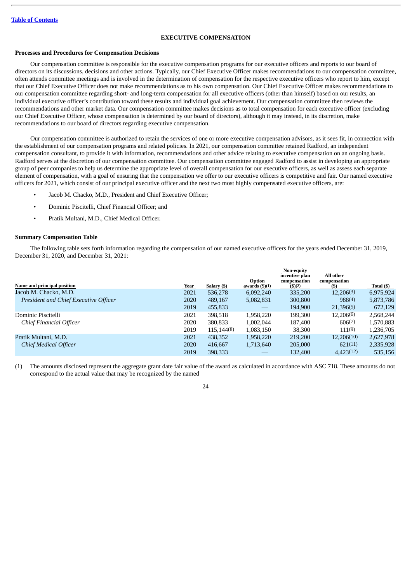## **EXECUTIVE COMPENSATION**

## <span id="page-28-0"></span>**Processes and Procedures for Compensation Decisions**

Our compensation committee is responsible for the executive compensation programs for our executive officers and reports to our board of directors on its discussions, decisions and other actions. Typically, our Chief Executive Officer makes recommendations to our compensation committee, often attends committee meetings and is involved in the determination of compensation for the respective executive officers who report to him, except that our Chief Executive Officer does not make recommendations as to his own compensation. Our Chief Executive Officer makes recommendations to our compensation committee regarding short- and long-term compensation for all executive officers (other than himself) based on our results, an individual executive officer's contribution toward these results and individual goal achievement. Our compensation committee then reviews the recommendations and other market data. Our compensation committee makes decisions as to total compensation for each executive officer (excluding our Chief Executive Officer, whose compensation is determined by our board of directors), although it may instead, in its discretion, make recommendations to our board of directors regarding executive compensation.

Our compensation committee is authorized to retain the services of one or more executive compensation advisors, as it sees fit, in connection with the establishment of our compensation programs and related policies. In 2021, our compensation committee retained Radford, an independent compensation consultant, to provide it with information, recommendations and other advice relating to executive compensation on an ongoing basis. Radford serves at the discretion of our compensation committee. Our compensation committee engaged Radford to assist in developing an appropriate group of peer companies to help us determine the appropriate level of overall compensation for our executive officers, as well as assess each separate element of compensation, with a goal of ensuring that the compensation we offer to our executive officers is competitive and fair. Our named executive officers for 2021, which consist of our principal executive officer and the next two most highly compensated executive officers, are:

- Jacob M. Chacko, M.D., President and Chief Executive Officer;
- Dominic Piscitelli, Chief Financial Officer; and
- Pratik Multani, M.D., Chief Medical Officer.

#### **Summary Compensation Table**

The following table sets forth information regarding the compensation of our named executive officers for the years ended December 31, 2019, December 31, 2020, and December 31, 2021:

|                                       |             |             | Option                  | Non-equity<br>incentive plan<br>compensation | All other<br>compensation |            |
|---------------------------------------|-------------|-------------|-------------------------|----------------------------------------------|---------------------------|------------|
| Name and principal position           | <u>Year</u> | Salary (\$) | awards $(\text{$}5)(1)$ | $($ \$)(2)                                   | (\$)                      | Total (\$) |
| Jacob M. Chacko, M.D.                 | 2021        | 536,278     | 6,092,240               | 335,200                                      | 12,206(3)                 | 6,975,924  |
| President and Chief Executive Officer | 2020        | 489,167     | 5,082,831               | 300,800                                      | 988(4)                    | 5,873,786  |
|                                       | 2019        | 455,833     |                         | 194,900                                      | 21,396(5)                 | 672,129    |
| Dominic Piscitelli                    | 2021        | 398,518     | 1,958,220               | 199,300                                      | 12,206(6)                 | 2,568,244  |
| Chief Financial Officer               | 2020        | 380,833     | 1,002,044               | 187,400                                      | 606(7)                    | 1,570,883  |
|                                       | 2019        | 115,144(8)  | 1,083,150               | 38,300                                       | 111(9)                    | 1,236,705  |
| Pratik Multani, M.D.                  | 2021        | 438,352     | 1,958,220               | 219,200                                      | 12,206(10)                | 2,627,978  |
| <b>Chief Medical Officer</b>          | 2020        | 416,667     | 1,713,640               | 205,000                                      | 621(11)                   | 2,335,928  |
|                                       | 2019        | 398,333     |                         | 132,400                                      | 4,423(12)                 | 535,156    |

(1) The amounts disclosed represent the aggregate grant date fair value of the award as calculated in accordance with ASC 718. These amounts do not correspond to the actual value that may be recognized by the named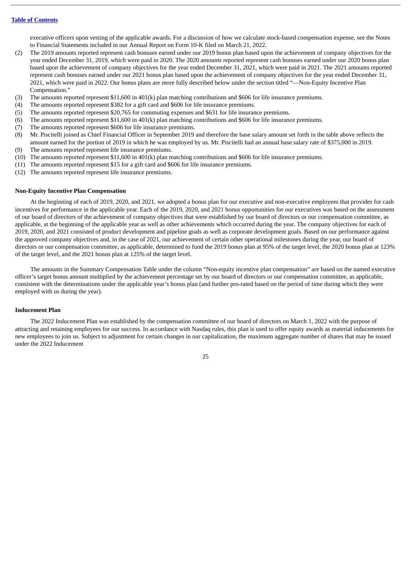executive officers upon vesting of the applicable awards. For a discussion of how we calculate stock-based compensation expense, see the Notes to Financial Statements included in our Annual Report on Form 10-K filed on March 21, 2022.

- (2) The 2019 amounts reported represent cash bonuses earned under our 2019 bonus plan based upon the achievement of company objectives for the year ended December 31, 2019, which were paid in 2020. The 2020 amounts reported represent cash bonuses earned under our 2020 bonus plan based upon the achievement of company objectives for the year ended December 31, 2021, which were paid in 2021. The 2021 amounts reported represent cash bonuses earned under our 2021 bonus plan based upon the achievement of company objectives for the year ended December 31, 2021, which were paid in 2022. Our bonus plans are more fully described below under the section titled "—Non-Equity Incentive Plan Compensation."
- (3) The amounts reported represent \$11,600 in 401(k) plan matching contributions and \$606 for life insurance premiums.
- (4) The amounts reported represent \$382 for a gift card and \$606 for life insurance premiums.
- (5) The amounts reported represent \$20,765 for commuting expenses and \$631 for life insurance premiums.
- (6) The amounts reported represent \$11,600 in 401(k) plan matching contributions and \$606 for life insurance premiums.
- (7) The amounts reported represent \$606 for life insurance premiums.
- (8) Mr. Piscitelli joined as Chief Financial Officer in September 2019 and therefore the base salary amount set forth in the table above reflects the amount earned for the portion of 2019 in which he was employed by us. Mr. Piscitelli had an annual base salary rate of \$375,000 in 2019.
- (9) The amounts reported represent life insurance premiums.
- (10) The amounts reported represent \$11,600 in 401(k) plan matching contributions and \$606 for life insurance premiums.
- (11) The amounts reported represent \$15 for a gift card and \$606 for life insurance premiums.
- (12) The amounts reported represent life insurance premiums.

#### **Non-Equity Incentive Plan Compensation**

At the beginning of each of 2019, 2020, and 2021, we adopted a bonus plan for our executive and non-executive employees that provides for cash incentives for performance in the applicable year. Each of the 2019, 2020, and 2021 bonus opportunities for our executives was based on the assessment of our board of directors of the achievement of company objectives that were established by our board of directors or our compensation committee, as applicable, at the beginning of the applicable year as well as other achievements which occurred during the year. The company objectives for each of 2019, 2020, and 2021 consisted of product development and pipeline goals as well as corporate development goals. Based on our performance against the approved company objectives and, in the case of 2021, our achievement of certain other operational milestones during the year, our board of directors or our compensation committee, as applicable, determined to fund the 2019 bonus plan at 95% of the target level, the 2020 bonus plan at 123% of the target level, and the 2021 bonus plan at 125% of the target level.

The amounts in the Summary Compensation Table under the column "Non-equity incentive plan compensation" are based on the named executive officer's target bonus amount multiplied by the achievement percentage set by our board of directors or our compensation committee, as applicable, consistent with the determinations under the applicable year's bonus plan (and further pro-rated based on the period of time during which they were employed with us during the year).

#### **Inducement Plan**

The 2022 Inducement Plan was established by the compensation committee of our board of directors on March 1, 2022 with the purpose of attracting and retaining employees for our success. In accordance with Nasdaq rules, this plan is used to offer equity awards as material inducements for new employees to join us. Subject to adjustment for certain changes in our capitalization, the maximum aggregate number of shares that may be issued under the 2022 Inducement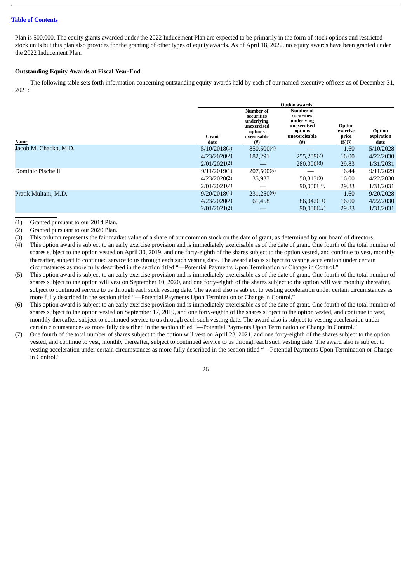Plan is 500,000. The equity grants awarded under the 2022 Inducement Plan are expected to be primarily in the form of stock options and restricted stock units but this plan also provides for the granting of other types of equity awards. As of April 18, 2022, no equity awards have been granted under the 2022 Inducement Plan.

## **Outstanding Equity Awards at Fiscal Year-End**

The following table sets forth information concerning outstanding equity awards held by each of our named executive officers as of December 31, 2021:

|                       |               | <b>Option awards</b>                                                                       |                                                                                                 |                                       |                              |  |
|-----------------------|---------------|--------------------------------------------------------------------------------------------|-------------------------------------------------------------------------------------------------|---------------------------------------|------------------------------|--|
| Name                  | Grant<br>date | Number of<br>securities<br>underlying<br>unexercised<br>options<br>exercisable<br>$^{(#)}$ | <b>Number of</b><br>securities<br>underlying<br>unexercised<br>options<br>unexercisable<br>(# ) | Option<br>exercise<br>price<br>\$)(3) | Option<br>expiration<br>date |  |
| Jacob M. Chacko, M.D. | 5/10/2018(1)  | 850,500(4)                                                                                 |                                                                                                 | 1.60                                  | 5/10/2028                    |  |
|                       | 4/23/2020(2)  | 182,291                                                                                    | 255,209(7)                                                                                      | 16.00                                 | 4/22/2030                    |  |
|                       | 2/01/2021(2)  |                                                                                            | 280,000(8)                                                                                      | 29.83                                 | 1/31/2031                    |  |
| Dominic Piscitelli    | 9/11/2019(1)  | 207,500(5)                                                                                 |                                                                                                 | 6.44                                  | 9/11/2029                    |  |
|                       | 4/23/2020(2)  | 35,937                                                                                     | 50,313(9)                                                                                       | 16.00                                 | 4/22/2030                    |  |
|                       | 2/01/2021(2)  |                                                                                            | 90,000(10)                                                                                      | 29.83                                 | 1/31/2031                    |  |
| Pratik Multani, M.D.  | 9/20/2018(1)  | 231,250(6)                                                                                 |                                                                                                 | 1.60                                  | 9/20/2028                    |  |
|                       | 4/23/2020(2)  | 61.458                                                                                     | 86,042(11)                                                                                      | 16.00                                 | 4/22/2030                    |  |
|                       | 2/01/2021(2)  |                                                                                            | 90,000(12)                                                                                      | 29.83                                 | 1/31/2031                    |  |
|                       |               |                                                                                            |                                                                                                 |                                       |                              |  |

(1) Granted pursuant to our 2014 Plan.

(2) Granted pursuant to our 2020 Plan.

(3) This column represents the fair market value of a share of our common stock on the date of grant, as determined by our board of directors.

- (4) This option award is subject to an early exercise provision and is immediately exercisable as of the date of grant. One fourth of the total number of shares subject to the option vested on April 30, 2019, and one forty-eighth of the shares subject to the option vested, and continue to vest, monthly thereafter, subject to continued service to us through each such vesting date. The award also is subject to vesting acceleration under certain circumstances as more fully described in the section titled "—Potential Payments Upon Termination or Change in Control."
- (5) This option award is subject to an early exercise provision and is immediately exercisable as of the date of grant. One fourth of the total number of shares subject to the option will vest on September 10, 2020, and one forty-eighth of the shares subject to the option will vest monthly thereafter, subject to continued service to us through each such vesting date. The award also is subject to vesting acceleration under certain circumstances as more fully described in the section titled "—Potential Payments Upon Termination or Change in Control."
- (6) This option award is subject to an early exercise provision and is immediately exercisable as of the date of grant. One fourth of the total number of shares subject to the option vested on September 17, 2019, and one forty-eighth of the shares subject to the option vested, and continue to vest, monthly thereafter, subject to continued service to us through each such vesting date. The award also is subject to vesting acceleration under certain circumstances as more fully described in the section titled "—Potential Payments Upon Termination or Change in Control."
- (7) One fourth of the total number of shares subject to the option will vest on April 23, 2021, and one forty-eighth of the shares subject to the option vested, and continue to vest, monthly thereafter, subject to continued service to us through each such vesting date. The award also is subject to vesting acceleration under certain circumstances as more fully described in the section titled "—Potential Payments Upon Termination or Change in Control."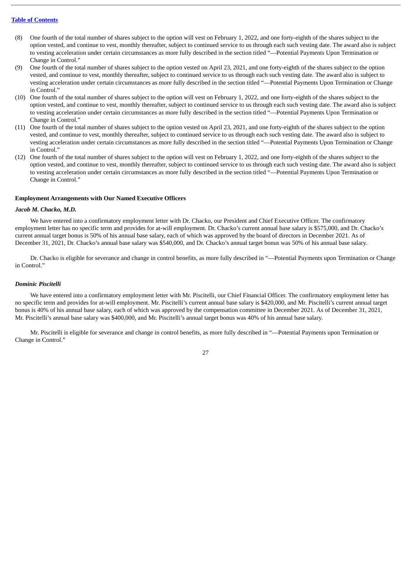- (8) One fourth of the total number of shares subject to the option will vest on February 1, 2022, and one forty-eighth of the shares subject to the option vested, and continue to vest, monthly thereafter, subject to continued service to us through each such vesting date. The award also is subject to vesting acceleration under certain circumstances as more fully described in the section titled "—Potential Payments Upon Termination or Change in Control."
- (9) One fourth of the total number of shares subject to the option vested on April 23, 2021, and one forty-eighth of the shares subject to the option vested, and continue to vest, monthly thereafter, subject to continued service to us through each such vesting date. The award also is subject to vesting acceleration under certain circumstances as more fully described in the section titled "—Potential Payments Upon Termination or Change in Control."
- (10) One fourth of the total number of shares subject to the option will vest on February 1, 2022, and one forty-eighth of the shares subject to the option vested, and continue to vest, monthly thereafter, subject to continued service to us through each such vesting date. The award also is subject to vesting acceleration under certain circumstances as more fully described in the section titled "—Potential Payments Upon Termination or Change in Control."
- (11) One fourth of the total number of shares subject to the option vested on April 23, 2021, and one forty-eighth of the shares subject to the option vested, and continue to vest, monthly thereafter, subject to continued service to us through each such vesting date. The award also is subject to vesting acceleration under certain circumstances as more fully described in the section titled "—Potential Payments Upon Termination or Change in Control."
- (12) One fourth of the total number of shares subject to the option will vest on February 1, 2022, and one forty-eighth of the shares subject to the option vested, and continue to vest, monthly thereafter, subject to continued service to us through each such vesting date. The award also is subject to vesting acceleration under certain circumstances as more fully described in the section titled "—Potential Payments Upon Termination or Change in Control."

## **Employment Arrangements with Our Named Executive Officers**

## *Jacob M. Chacko, M.D.*

We have entered into a confirmatory employment letter with Dr. Chacko, our President and Chief Executive Officer. The confirmatory employment letter has no specific term and provides for at-will employment. Dr. Chacko's current annual base salary is \$575,000, and Dr. Chacko's current annual target bonus is 50% of his annual base salary, each of which was approved by the board of directors in December 2021. As of December 31, 2021, Dr. Chacko's annual base salary was \$540,000, and Dr. Chacko's annual target bonus was 50% of his annual base salary.

Dr. Chacko is eligible for severance and change in control benefits, as more fully described in "—Potential Payments upon Termination or Change in Control."

## *Dominic Piscitelli*

We have entered into a confirmatory employment letter with Mr. Piscitelli, our Chief Financial Officer. The confirmatory employment letter has no specific term and provides for at-will employment. Mr. Piscitelli's current annual base salary is \$420,000, and Mr. Piscitelli's current annual target bonus is 40% of his annual base salary, each of which was approved by the compensation committee in December 2021. As of December 31, 2021, Mr. Piscitelli's annual base salary was \$400,000, and Mr. Piscitelli's annual target bonus was 40% of his annual base salary.

Mr. Piscitelli is eligible for severance and change in control benefits, as more fully described in "—Potential Payments upon Termination or Change in Control."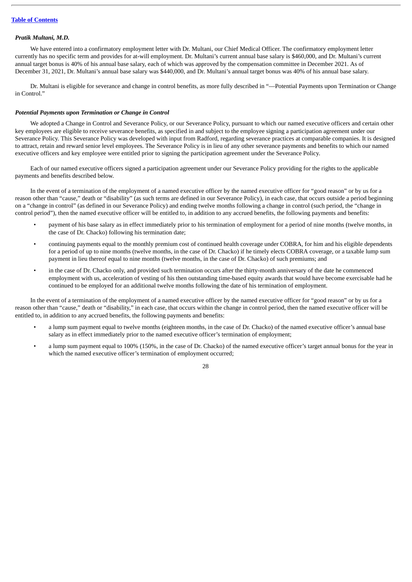#### *Pratik Multani, M.D.*

We have entered into a confirmatory employment letter with Dr. Multani, our Chief Medical Officer. The confirmatory employment letter currently has no specific term and provides for at-will employment. Dr. Multani's current annual base salary is \$460,000, and Dr. Multani's current annual target bonus is 40% of his annual base salary, each of which was approved by the compensation committee in December 2021. As of December 31, 2021, Dr. Multani's annual base salary was \$440,000, and Dr. Multani's annual target bonus was 40% of his annual base salary.

Dr. Multani is eligible for severance and change in control benefits, as more fully described in "—Potential Payments upon Termination or Change in Control."

#### *Potential Payments upon Termination or Change in Control*

We adopted a Change in Control and Severance Policy, or our Severance Policy, pursuant to which our named executive officers and certain other key employees are eligible to receive severance benefits, as specified in and subject to the employee signing a participation agreement under our Severance Policy. This Severance Policy was developed with input from Radford, regarding severance practices at comparable companies. It is designed to attract, retain and reward senior level employees. The Severance Policy is in lieu of any other severance payments and benefits to which our named executive officers and key employee were entitled prior to signing the participation agreement under the Severance Policy.

Each of our named executive officers signed a participation agreement under our Severance Policy providing for the rights to the applicable payments and benefits described below.

In the event of a termination of the employment of a named executive officer by the named executive officer for "good reason" or by us for a reason other than "cause," death or "disability" (as such terms are defined in our Severance Policy), in each case, that occurs outside a period beginning on a "change in control" (as defined in our Severance Policy) and ending twelve months following a change in control (such period, the "change in control period"), then the named executive officer will be entitled to, in addition to any accrued benefits, the following payments and benefits:

- payment of his base salary as in effect immediately prior to his termination of employment for a period of nine months (twelve months, in the case of Dr. Chacko) following his termination date;
- continuing payments equal to the monthly premium cost of continued health coverage under COBRA, for him and his eligible dependents for a period of up to nine months (twelve months, in the case of Dr. Chacko) if he timely elects COBRA coverage, or a taxable lump sum payment in lieu thereof equal to nine months (twelve months, in the case of Dr. Chacko) of such premiums; and
- in the case of Dr. Chacko only, and provided such termination occurs after the thirty-month anniversary of the date he commenced employment with us, acceleration of vesting of his then outstanding time-based equity awards that would have become exercisable had he continued to be employed for an additional twelve months following the date of his termination of employment.

In the event of a termination of the employment of a named executive officer by the named executive officer for "good reason" or by us for a reason other than "cause," death or "disability," in each case, that occurs within the change in control period, then the named executive officer will be entitled to, in addition to any accrued benefits, the following payments and benefits:

- a lump sum payment equal to twelve months (eighteen months, in the case of Dr. Chacko) of the named executive officer's annual base salary as in effect immediately prior to the named executive officer's termination of employment;
- a lump sum payment equal to 100% (150%, in the case of Dr. Chacko) of the named executive officer's target annual bonus for the year in which the named executive officer's termination of employment occurred;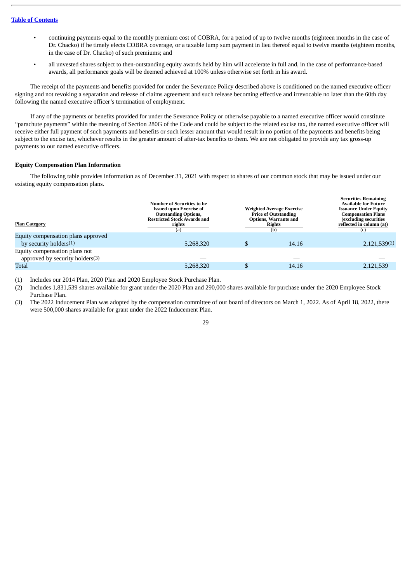- continuing payments equal to the monthly premium cost of COBRA, for a period of up to twelve months (eighteen months in the case of Dr. Chacko) if he timely elects COBRA coverage, or a taxable lump sum payment in lieu thereof equal to twelve months (eighteen months, in the case of Dr. Chacko) of such premiums; and
- all unvested shares subject to then-outstanding equity awards held by him will accelerate in full and, in the case of performance-based awards, all performance goals will be deemed achieved at 100% unless otherwise set forth in his award.

The receipt of the payments and benefits provided for under the Severance Policy described above is conditioned on the named executive officer signing and not revoking a separation and release of claims agreement and such release becoming effective and irrevocable no later than the 60th day following the named executive officer's termination of employment.

If any of the payments or benefits provided for under the Severance Policy or otherwise payable to a named executive officer would constitute "parachute payments" within the meaning of Section 280G of the Code and could be subject to the related excise tax, the named executive officer will receive either full payment of such payments and benefits or such lesser amount that would result in no portion of the payments and benefits being subject to the excise tax, whichever results in the greater amount of after-tax benefits to them. We are not obligated to provide any tax gross-up payments to our named executive officers.

## **Equity Compensation Plan Information**

The following table provides information as of December 31, 2021 with respect to shares of our common stock that may be issued under our existing equity compensation plans.

| <b>Plan Category</b>                                             | <b>Number of Securities to be</b><br><b>Issued upon Exercise of</b><br><b>Outstanding Options,</b><br><b>Restricted Stock Awards and</b><br>rights<br>(a) | <b>Weighted Average Exercise</b><br><b>Price of Outstanding</b><br><b>Options, Warrants and</b><br><b>Rights</b><br>(b) |       | <b>Securities Remaining</b><br><b>Available for Future</b><br><b>Issuance Under Equity</b><br><b>Compensation Plans</b><br>(excluding securities<br>reflected in column (a))<br>(c) |  |
|------------------------------------------------------------------|-----------------------------------------------------------------------------------------------------------------------------------------------------------|-------------------------------------------------------------------------------------------------------------------------|-------|-------------------------------------------------------------------------------------------------------------------------------------------------------------------------------------|--|
| Equity compensation plans approved                               |                                                                                                                                                           |                                                                                                                         |       |                                                                                                                                                                                     |  |
| by security holders $(1)$                                        | 5,268,320                                                                                                                                                 |                                                                                                                         | 14.16 | 2,121,539(2)                                                                                                                                                                        |  |
| Equity compensation plans not<br>approved by security holders(3) |                                                                                                                                                           |                                                                                                                         |       |                                                                                                                                                                                     |  |
| Total                                                            | 5,268,320                                                                                                                                                 |                                                                                                                         | 14.16 | 2,121,539                                                                                                                                                                           |  |
|                                                                  |                                                                                                                                                           |                                                                                                                         |       |                                                                                                                                                                                     |  |

(1) Includes our 2014 Plan, 2020 Plan and 2020 Employee Stock Purchase Plan.

(2) Includes 1,831,539 shares available for grant under the 2020 Plan and 290,000 shares available for purchase under the 2020 Employee Stock Purchase Plan.

(3) The 2022 Inducement Plan was adopted by the compensation committee of our board of directors on March 1, 2022. As of April 18, 2022, there were 500,000 shares available for grant under the 2022 Inducement Plan.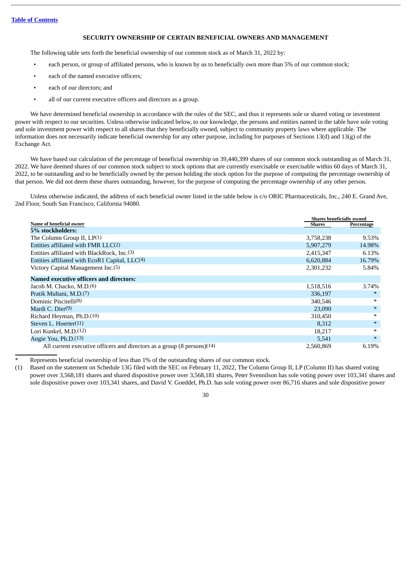## **SECURITY OWNERSHIP OF CERTAIN BENEFICIAL OWNERS AND MANAGEMENT**

<span id="page-34-0"></span>The following table sets forth the beneficial ownership of our common stock as of March 31, 2022 by:

- each person, or group of affiliated persons, who is known by us to beneficially own more than 5% of our common stock;
- each of the named executive officers:
- each of our directors; and
- all of our current executive officers and directors as a group.

We have determined beneficial ownership in accordance with the rules of the SEC, and thus it represents sole or shared voting or investment power with respect to our securities. Unless otherwise indicated below, to our knowledge, the persons and entities named in the table have sole voting and sole investment power with respect to all shares that they beneficially owned, subject to community property laws where applicable. The information does not necessarily indicate beneficial ownership for any other purpose, including for purposes of Sections 13(d) and 13(g) of the Exchange Act.

We have based our calculation of the percentage of beneficial ownership on 39,440,399 shares of our common stock outstanding as of March 31, 2022. We have deemed shares of our common stock subject to stock options that are currently exercisable or exercisable within 60 days of March 31, 2022, to be outstanding and to be beneficially owned by the person holding the stock option for the purpose of computing the percentage ownership of that person. We did not deem these shares outstanding, however, for the purpose of computing the percentage ownership of any other person.

Unless otherwise indicated, the address of each beneficial owner listed in the table below is c/o ORIC Pharmaceuticals, Inc., 240 E. Grand Ave, 2nd Floor, South San Francisco, California 94080.

|                                                                                      | <b>Shares beneficially owned</b> |            |
|--------------------------------------------------------------------------------------|----------------------------------|------------|
| Name of beneficial owner                                                             | <b>Shares</b>                    | Percentage |
| 5% stockholders:                                                                     |                                  |            |
| The Column Group II, LP(1)                                                           | 3,758,238                        | 9.53%      |
| Entities affiliated with FMR LLC(2)                                                  | 5,907,279                        | 14.98%     |
| Entities affiliated with BlackRock, Inc.(3)                                          | 2,415,347                        | 6.13%      |
| Entities affiliated with EcoR1 Capital, LLC(4)                                       | 6,620,884                        | 16.79%     |
| Victory Capital Management Inc.(5)                                                   | 2,301,232                        | 5.84%      |
| Named executive officers and directors:                                              |                                  |            |
| Jacob M. Chacko, M.D. <sup>(6)</sup>                                                 | 1,518,516                        | 3.74%      |
| Pratik Multani, M.D.(7)                                                              | 336,197                          | $\ast$     |
| Dominic Piscitelli(8)                                                                | 340,546                          | $\ast$     |
| Mardi C. Dier <sup>(9)</sup>                                                         | 23,090                           | $\ast$     |
| Richard Heyman, Ph.D.(10)                                                            | 310,450                          | $\ast$     |
| Steven L. Hoerter $(11)$                                                             | 8,312                            | $\ast$     |
| Lori Kunkel, M.D.(12)                                                                | 18,217                           | $\ast$     |
| Angie You, Ph.D.(13)                                                                 | 5,541                            | $\ast$     |
| All current executive officers and directors as a group $(8 \text{ persons})$ $(14)$ | 2,560,869                        | 6.19%      |

Represents beneficial ownership of less than 1% of the outstanding shares of our common stock.

(1) Based on the statement on Schedule 13G filed with the SEC on February 11, 2022, The Column Group II, LP (Column II) has shared voting power over 3,568,181 shares and shared dispositive power over 3,568,181 shares, Peter Svennilson has sole voting power over 103,341 shares and sole dispositive power over 103,341 shares, and David V. Goeddel, Ph.D. has sole voting power over 86,716 shares and sole dispositive power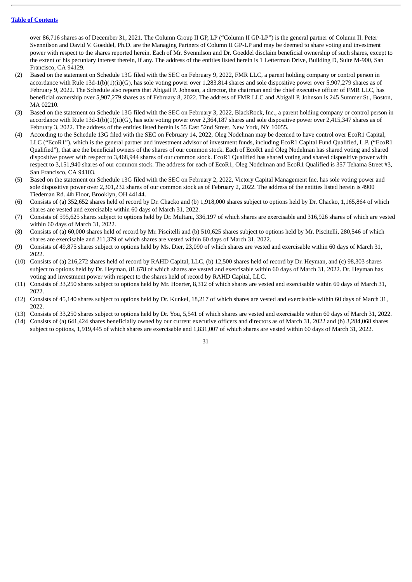over 86,716 shares as of December 31, 2021. The Column Group II GP, LP ("Column II GP-LP") is the general partner of Column II. Peter Svennilson and David V. Goeddel, Ph.D. are the Managing Partners of Column II GP-LP and may be deemed to share voting and investment power with respect to the shares reported herein. Each of Mr. Svennilson and Dr. Goeddel disclaim beneficial ownership of such shares, except to the extent of his pecuniary interest therein, if any. The address of the entities listed herein is 1 Letterman Drive, Building D, Suite M-900, San Francisco, CA 94129.

- (2) Based on the statement on Schedule 13G filed with the SEC on February 9, 2022, FMR LLC, a parent holding company or control person in accordance with Rule 13d-1(b)(1)(ii)(G), has sole voting power over 1,283,814 shares and sole dispositive power over 5,907,279 shares as of February 9, 2022. The Schedule also reports that Abigail P. Johnson, a director, the chairman and the chief executive officer of FMR LLC, has beneficial ownership over 5,907,279 shares as of February 8, 2022. The address of FMR LLC and Abigail P. Johnson is 245 Summer St., Boston, MA 02210.
- (3) Based on the statement on Schedule 13G filed with the SEC on February 3, 2022, BlackRock, Inc., a parent holding company or control person in accordance with Rule 13d-1(b)(1)(ii)(G), has sole voting power over 2,364,187 shares and sole dispositive power over 2,415,347 shares as of February 3, 2022. The address of the entities listed herein is 55 East 52nd Street, New York, NY 10055.
- (4) According to the Schedule 13G filed with the SEC on February 14, 2022, Oleg Nodelman may be deemed to have control over EcoR1 Capital, LLC ("EcoR1"), which is the general partner and investment advisor of investment funds, including EcoR1 Capital Fund Qualified, L.P. ("EcoR1 Qualified"), that are the beneficial owners of the shares of our common stock. Each of EcoR1 and Oleg Nodelman has shared voting and shared dispositive power with respect to 3,468,944 shares of our common stock. EcoR1 Qualified has shared voting and shared dispositive power with respect to 3,151,940 shares of our common stock. The address for each of EcoR1, Oleg Nodelman and EcoR1 Qualified is 357 Tehama Street #3, San Francisco, CA 94103.
- (5) Based on the statement on Schedule 13G filed with the SEC on February 2, 2022, Victory Capital Management Inc. has sole voting power and sole dispositive power over 2,301,232 shares of our common stock as of February 2, 2022. The address of the entities listed herein is 4900 Tiedeman Rd. 4th Floor, Brooklyn, OH 44144.
- (6) Consists of (a) 352,652 shares held of record by Dr. Chacko and (b) 1,918,000 shares subject to options held by Dr. Chacko, 1,165,864 of which shares are vested and exercisable within 60 days of March 31, 2022.
- (7) Consists of 595,625 shares subject to options held by Dr. Multani, 336,197 of which shares are exercisable and 316,926 shares of which are vested within 60 days of March 31, 2022.
- (8) Consists of (a) 60,000 shares held of record by Mr. Piscitelli and (b) 510,625 shares subject to options held by Mr. Piscitelli, 280,546 of which shares are exercisable and 211,379 of which shares are vested within 60 days of March 31, 2022.
- (9) Consists of 49,875 shares subject to options held by Ms. Dier, 23,090 of which shares are vested and exercisable within 60 days of March 31, 2022.
- (10) Consists of (a) 216,272 shares held of record by RAHD Capital, LLC, (b) 12,500 shares held of record by Dr. Heyman, and (c) 98,303 shares subject to options held by Dr. Heyman, 81,678 of which shares are vested and exercisable within 60 days of March 31, 2022. Dr. Heyman has voting and investment power with respect to the shares held of record by RAHD Capital, LLC.
- (11) Consists of 33,250 shares subject to options held by Mr. Hoerter, 8,312 of which shares are vested and exercisable within 60 days of March 31, 2022.
- (12) Consists of 45,140 shares subject to options held by Dr. Kunkel, 18,217 of which shares are vested and exercisable within 60 days of March 31, 2022.
- (13) Consists of 33,250 shares subject to options held by Dr. You, 5,541 of which shares are vested and exercisable within 60 days of March 31, 2022.
- (14) Consists of (a) 641,424 shares beneficially owned by our current executive officers and directors as of March 31, 2022 and (b) 3,284,068 shares subject to options, 1,919,445 of which shares are exercisable and 1,831,007 of which shares are vested within 60 days of March 31, 2022.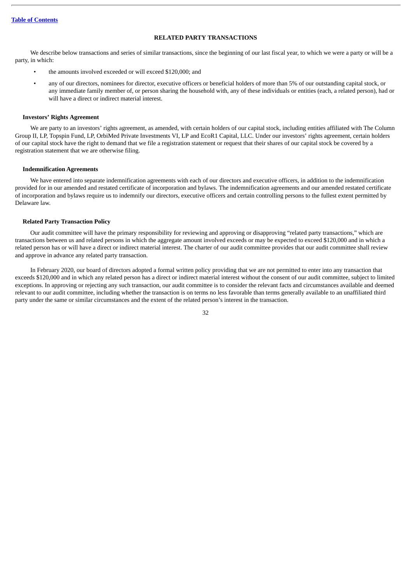## **RELATED PARTY TRANSACTIONS**

<span id="page-36-0"></span>We describe below transactions and series of similar transactions, since the beginning of our last fiscal year, to which we were a party or will be a party, in which:

- the amounts involved exceeded or will exceed \$120,000; and
- any of our directors, nominees for director, executive officers or beneficial holders of more than 5% of our outstanding capital stock, or any immediate family member of, or person sharing the household with, any of these individuals or entities (each, a related person), had or will have a direct or indirect material interest.

## **Investors' Rights Agreement**

We are party to an investors' rights agreement, as amended, with certain holders of our capital stock, including entities affiliated with The Column Group II, LP, Topspin Fund, LP, OrbiMed Private Investments VI, LP and EcoR1 Capital, LLC. Under our investors' rights agreement, certain holders of our capital stock have the right to demand that we file a registration statement or request that their shares of our capital stock be covered by a registration statement that we are otherwise filing.

#### **Indemnification Agreements**

We have entered into separate indemnification agreements with each of our directors and executive officers, in addition to the indemnification provided for in our amended and restated certificate of incorporation and bylaws. The indemnification agreements and our amended restated certificate of incorporation and bylaws require us to indemnify our directors, executive officers and certain controlling persons to the fullest extent permitted by Delaware law.

## **Related Party Transaction Policy**

Our audit committee will have the primary responsibility for reviewing and approving or disapproving "related party transactions," which are transactions between us and related persons in which the aggregate amount involved exceeds or may be expected to exceed \$120,000 and in which a related person has or will have a direct or indirect material interest. The charter of our audit committee provides that our audit committee shall review and approve in advance any related party transaction.

In February 2020, our board of directors adopted a formal written policy providing that we are not permitted to enter into any transaction that exceeds \$120,000 and in which any related person has a direct or indirect material interest without the consent of our audit committee, subject to limited exceptions. In approving or rejecting any such transaction, our audit committee is to consider the relevant facts and circumstances available and deemed relevant to our audit committee, including whether the transaction is on terms no less favorable than terms generally available to an unaffiliated third party under the same or similar circumstances and the extent of the related person's interest in the transaction.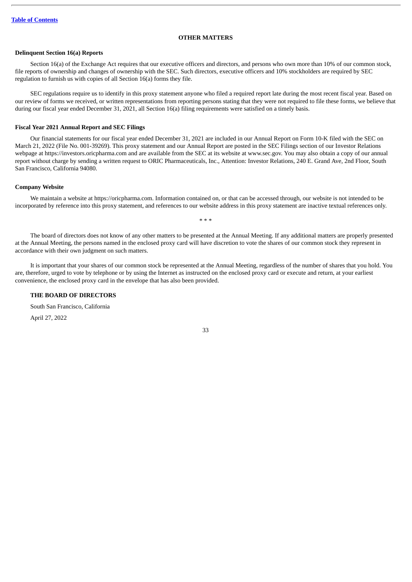## **OTHER MATTERS**

## <span id="page-37-0"></span>**Delinquent Section 16(a) Reports**

Section 16(a) of the Exchange Act requires that our executive officers and directors, and persons who own more than 10% of our common stock, file reports of ownership and changes of ownership with the SEC. Such directors, executive officers and 10% stockholders are required by SEC regulation to furnish us with copies of all Section 16(a) forms they file.

SEC regulations require us to identify in this proxy statement anyone who filed a required report late during the most recent fiscal year. Based on our review of forms we received, or written representations from reporting persons stating that they were not required to file these forms, we believe that during our fiscal year ended December 31, 2021, all Section 16(a) filing requirements were satisfied on a timely basis.

#### **Fiscal Year 2021 Annual Report and SEC Filings**

Our financial statements for our fiscal year ended December 31, 2021 are included in our Annual Report on Form 10-K filed with the SEC on March 21, 2022 (File No. 001-39269). This proxy statement and our Annual Report are posted in the SEC Filings section of our Investor Relations webpage at https://investors.oricpharma.com and are available from the SEC at its website at www.sec.gov. You may also obtain a copy of our annual report without charge by sending a written request to ORIC Pharmaceuticals, Inc., Attention: Investor Relations, 240 E. Grand Ave, 2nd Floor, South San Francisco, California 94080.

## **Company Website**

We maintain a website at https://oricpharma.com. Information contained on, or that can be accessed through, our website is not intended to be incorporated by reference into this proxy statement, and references to our website address in this proxy statement are inactive textual references only.

The board of directors does not know of any other matters to be presented at the Annual Meeting. If any additional matters are properly presented at the Annual Meeting, the persons named in the enclosed proxy card will have discretion to vote the shares of our common stock they represent in accordance with their own judgment on such matters.

\* \* \*

It is important that your shares of our common stock be represented at the Annual Meeting, regardless of the number of shares that you hold. You are, therefore, urged to vote by telephone or by using the Internet as instructed on the enclosed proxy card or execute and return, at your earliest convenience, the enclosed proxy card in the envelope that has also been provided.

## **THE BOARD OF DIRECTORS**

South San Francisco, California

April 27, 2022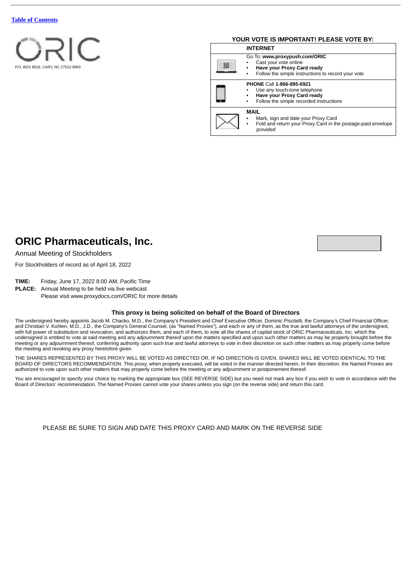

## **YOUR VOTE IS IMPORTANT! PLEASE VOTE BY:**

|  | <b>INTERNET</b> |                                                                                                                                            |  |  |  |
|--|-----------------|--------------------------------------------------------------------------------------------------------------------------------------------|--|--|--|
|  |                 | Go To: www.proxypush.com/ORIC<br>Cast your vote online<br>Have your Proxy Card ready<br>Follow the simple instructions to record your vote |  |  |  |
|  |                 | PHONE Call 1-866-895-6921<br>Use any touch-tone telephone<br>Have your Proxy Card ready<br>Follow the simple recorded instructions         |  |  |  |
|  |                 | MAIL<br>Mark, sign and date your Proxy Card<br>Fold and return your Proxy Card in the postage-paid envelope<br>provided                    |  |  |  |

## **ORIC Pharmaceuticals, Inc.**

Annual Meeting of Stockholders

For Stockholders of record as of April 18, 2022

**TIME:** Friday, June 17, 2022 8:00 AM, Pacific Time

**PLACE:** Annual Meeting to be held via live webcast

Please visit www.proxydocs.com/ORIC for more details

## **This proxy is being solicited on behalf of the Board of Directors**

The undersigned hereby appoints Jacob M. Chacko, M.D., the Company's President and Chief Executive Officer, Dominic Piscitelli, the Company's Chief Financial Officer, and Christian V. Kuhlen, M.D., J.D., the Company's General Counsel, (as "Named Proxies"), and each or any of them, as the true and lawful attorneys of the undersigned, with full power of substitution and revocation, and authorizes them, and each of them, to vote all the shares of capital stock of ORIC Pharmaceuticals, Inc. which the undersigned is entitled to vote at said meeting and any adjournment thereof upon the matters specified and upon such other matters as may be properly brought before the meeting or any adjournment thereof, conferring authority upon such true and lawful attorneys to vote in their discretion on such other matters as may properly come before the meeting and revoking any proxy heretofore given.

THE SHARES REPRESENTED BY THIS PROXY WILL BE VOTED AS DIRECTED OR, IF NO DIRECTION IS GIVEN, SHARES WILL BE VOTED IDENTICAL TO THE BOARD OF DIRECTORS RECOMMENDATION. This proxy, when properly executed, will be voted in the manner directed herein. In their discretion, the Named Proxies are authorized to vote upon such other matters that may properly come before the meeting or any adjournment or postponement thereof.

You are encouraged to specify your choice by marking the appropriate box (SEE REVERSE SIDE) but you need not mark any box if you wish to vote in accordance with the Board of Directors' recommendation. The Named Proxies cannot vote your shares unless you sign (on the reverse side) and return this card.

PLEASE BE SURE TO SIGN AND DATE THIS PROXY CARD AND MARK ON THE REVERSE SIDE